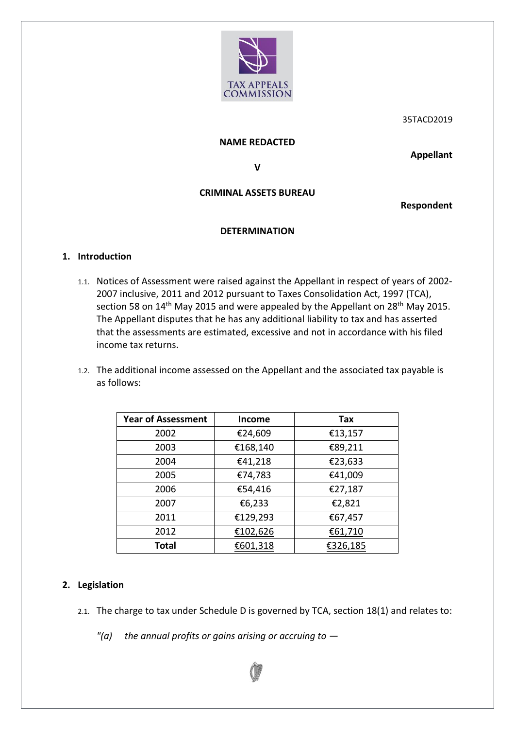

35TACD2019

#### **NAME REDACTED**

**Appellant**

**V**

# **CRIMINAL ASSETS BUREAU**

**Respondent**

### **DETERMINATION**

#### **1. Introduction**

- 1.1. Notices of Assessment were raised against the Appellant in respect of years of 2002- 2007 inclusive, 2011 and 2012 pursuant to Taxes Consolidation Act, 1997 (TCA), section 58 on 14<sup>th</sup> May 2015 and were appealed by the Appellant on 28<sup>th</sup> May 2015. The Appellant disputes that he has any additional liability to tax and has asserted that the assessments are estimated, excessive and not in accordance with his filed income tax returns.
- 1.2. The additional income assessed on the Appellant and the associated tax payable is as follows:

| <b>Year of Assessment</b> | <b>Income</b> | Tax      |
|---------------------------|---------------|----------|
| 2002                      | €24,609       | €13,157  |
| 2003                      | €168,140      | €89,211  |
| 2004                      | €41,218       | €23,633  |
| 2005                      | €74,783       | €41,009  |
| 2006                      | €54,416       | €27,187  |
| 2007                      | €6,233        | €2,821   |
| 2011                      | €129,293      | €67,457  |
| 2012                      | €102,626      | €61,710  |
| <b>Total</b>              | €601,318      | €326,185 |

### **2. Legislation**

- 2.1. The charge to tax under Schedule D is governed by TCA, section 18(1) and relates to:
	- *"(a) the annual profits or gains arising or accruing to —*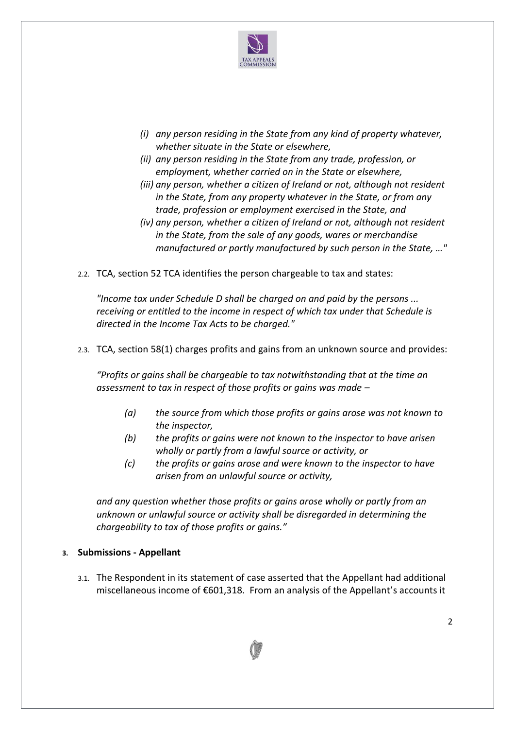

- *(i) any person residing in the State from any kind of property whatever, whether situate in the State or elsewhere,*
- *(ii) any person residing in the State from any trade, profession, or employment, whether carried on in the State or elsewhere,*
- *(iii) any person, whether a citizen of Ireland or not, although not resident in the State, from any property whatever in the State, or from any trade, profession or employment exercised in the State, and*
- *(iv) any person, whether a citizen of Ireland or not, although not resident in the State, from the sale of any goods, wares or merchandise manufactured or partly manufactured by such person in the State, …"*
- 2.2. TCA, section 52 TCA identifies the person chargeable to tax and states:

*"Income tax under Schedule D shall be charged on and paid by the persons ... receiving or entitled to the income in respect of which tax under that Schedule is directed in the Income Tax Acts to be charged."*

2.3. TCA, section 58(1) charges profits and gains from an unknown source and provides:

*"Profits or gains shall be chargeable to tax notwithstanding that at the time an assessment to tax in respect of those profits or gains was made –*

- *(a) the source from which those profits or gains arose was not known to the inspector,*
- *(b) the profits or gains were not known to the inspector to have arisen wholly or partly from a lawful source or activity, or*
- *(c) the profits or gains arose and were known to the inspector to have arisen from an unlawful source or activity,*

*and any question whether those profits or gains arose wholly or partly from an unknown or unlawful source or activity shall be disregarded in determining the chargeability to tax of those profits or gains."*

#### **3. Submissions - Appellant**

3.1. The Respondent in its statement of case asserted that the Appellant had additional miscellaneous income of €601,318. From an analysis of the Appellant's accounts it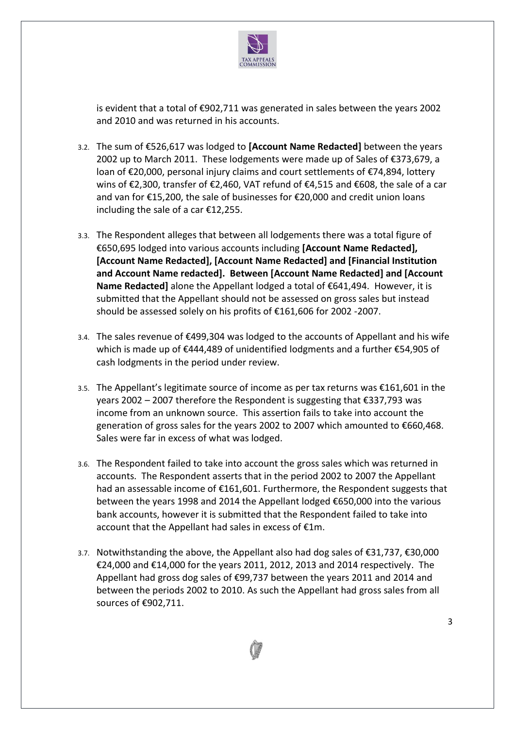

is evident that a total of €902,711 was generated in sales between the years 2002 and 2010 and was returned in his accounts.

- 3.2. The sum of €526,617 was lodged to **[Account Name Redacted]** between the years 2002 up to March 2011. These lodgements were made up of Sales of €373,679, a loan of €20,000, personal injury claims and court settlements of €74,894, lottery wins of €2,300, transfer of €2,460, VAT refund of €4,515 and €608, the sale of a car and van for €15,200, the sale of businesses for €20,000 and credit union loans including the sale of a car €12,255.
- 3.3. The Respondent alleges that between all lodgements there was a total figure of €650,695 lodged into various accounts including **[Account Name Redacted], [Account Name Redacted], [Account Name Redacted] and [Financial Institution and Account Name redacted]. Between [Account Name Redacted] and [Account Name Redacted]** alone the Appellant lodged a total of €641,494. However, it is submitted that the Appellant should not be assessed on gross sales but instead should be assessed solely on his profits of €161,606 for 2002 -2007.
- 3.4. The sales revenue of €499,304 was lodged to the accounts of Appellant and his wife which is made up of €444,489 of unidentified lodgments and a further €54,905 of cash lodgments in the period under review.
- 3.5. The Appellant's legitimate source of income as per tax returns was €161,601 in the years 2002 – 2007 therefore the Respondent is suggesting that €337,793 was income from an unknown source. This assertion fails to take into account the generation of gross sales for the years 2002 to 2007 which amounted to €660,468. Sales were far in excess of what was lodged.
- 3.6. The Respondent failed to take into account the gross sales which was returned in accounts. The Respondent asserts that in the period 2002 to 2007 the Appellant had an assessable income of €161,601. Furthermore, the Respondent suggests that between the years 1998 and 2014 the Appellant lodged €650,000 into the various bank accounts, however it is submitted that the Respondent failed to take into account that the Appellant had sales in excess of €1m.
- 3.7. Notwithstanding the above, the Appellant also had dog sales of €31,737, €30,000 €24,000 and €14,000 for the years 2011, 2012, 2013 and 2014 respectively. The Appellant had gross dog sales of €99,737 between the years 2011 and 2014 and between the periods 2002 to 2010. As such the Appellant had gross sales from all sources of €902,711.

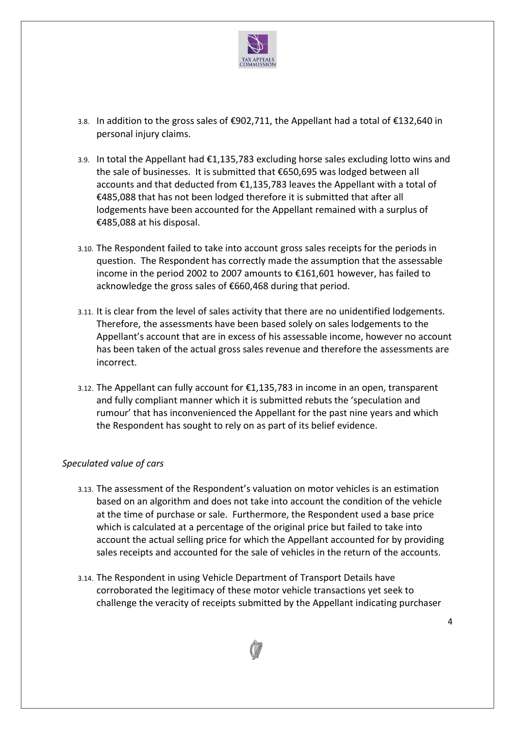

- 3.8. In addition to the gross sales of €902,711, the Appellant had a total of €132,640 in personal injury claims.
- 3.9. In total the Appellant had €1,135,783 excluding horse sales excluding lotto wins and the sale of businesses. It is submitted that €650,695 was lodged between all accounts and that deducted from €1,135,783 leaves the Appellant with a total of €485,088 that has not been lodged therefore it is submitted that after all lodgements have been accounted for the Appellant remained with a surplus of €485,088 at his disposal.
- 3.10. The Respondent failed to take into account gross sales receipts for the periods in question. The Respondent has correctly made the assumption that the assessable income in the period 2002 to 2007 amounts to €161,601 however, has failed to acknowledge the gross sales of €660,468 during that period.
- 3.11. It is clear from the level of sales activity that there are no unidentified lodgements. Therefore, the assessments have been based solely on sales lodgements to the Appellant's account that are in excess of his assessable income, however no account has been taken of the actual gross sales revenue and therefore the assessments are incorrect.
- 3.12. The Appellant can fully account for €1,135,783 in income in an open, transparent and fully compliant manner which it is submitted rebuts the 'speculation and rumour' that has inconvenienced the Appellant for the past nine years and which the Respondent has sought to rely on as part of its belief evidence.

### *Speculated value of cars*

- 3.13. The assessment of the Respondent's valuation on motor vehicles is an estimation based on an algorithm and does not take into account the condition of the vehicle at the time of purchase or sale. Furthermore, the Respondent used a base price which is calculated at a percentage of the original price but failed to take into account the actual selling price for which the Appellant accounted for by providing sales receipts and accounted for the sale of vehicles in the return of the accounts.
- 3.14. The Respondent in using Vehicle Department of Transport Details have corroborated the legitimacy of these motor vehicle transactions yet seek to challenge the veracity of receipts submitted by the Appellant indicating purchaser

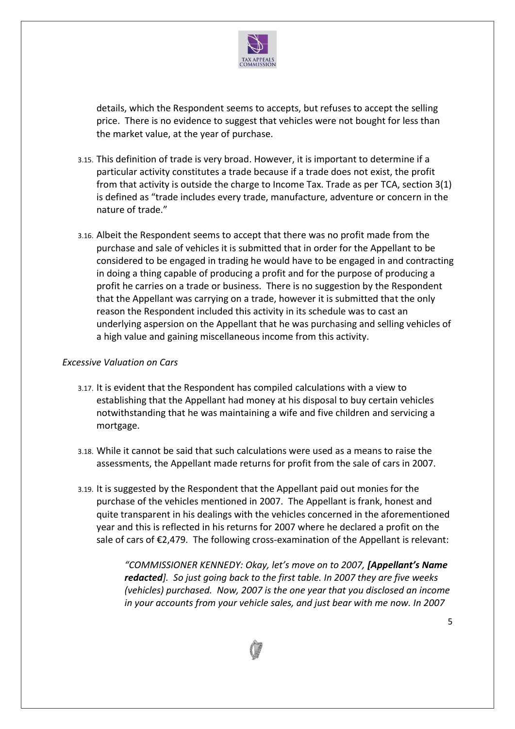

details, which the Respondent seems to accepts, but refuses to accept the selling price. There is no evidence to suggest that vehicles were not bought for less than the market value, at the year of purchase.

- 3.15. This definition of trade is very broad. However, it is important to determine if a particular activity constitutes a trade because if a trade does not exist, the profit from that activity is outside the charge to Income Tax. Trade as per TCA, section 3(1) is defined as "trade includes every trade, manufacture, adventure or concern in the nature of trade."
- 3.16. Albeit the Respondent seems to accept that there was no profit made from the purchase and sale of vehicles it is submitted that in order for the Appellant to be considered to be engaged in trading he would have to be engaged in and contracting in doing a thing capable of producing a profit and for the purpose of producing a profit he carries on a trade or business. There is no suggestion by the Respondent that the Appellant was carrying on a trade, however it is submitted that the only reason the Respondent included this activity in its schedule was to cast an underlying aspersion on the Appellant that he was purchasing and selling vehicles of a high value and gaining miscellaneous income from this activity.

#### *Excessive Valuation on Cars*

- 3.17. It is evident that the Respondent has compiled calculations with a view to establishing that the Appellant had money at his disposal to buy certain vehicles notwithstanding that he was maintaining a wife and five children and servicing a mortgage.
- 3.18. While it cannot be said that such calculations were used as a means to raise the assessments, the Appellant made returns for profit from the sale of cars in 2007.
- 3.19. It is suggested by the Respondent that the Appellant paid out monies for the purchase of the vehicles mentioned in 2007. The Appellant is frank, honest and quite transparent in his dealings with the vehicles concerned in the aforementioned year and this is reflected in his returns for 2007 where he declared a profit on the sale of cars of €2,479. The following cross-examination of the Appellant is relevant:

*"COMMISSIONER KENNEDY: Okay, let's move on to 2007, [Appellant's Name redacted]. So just going back to the first table. In 2007 they are five weeks (vehicles) purchased. Now, 2007 is the one year that you disclosed an income in your accounts from your vehicle sales, and just bear with me now. In 2007* 

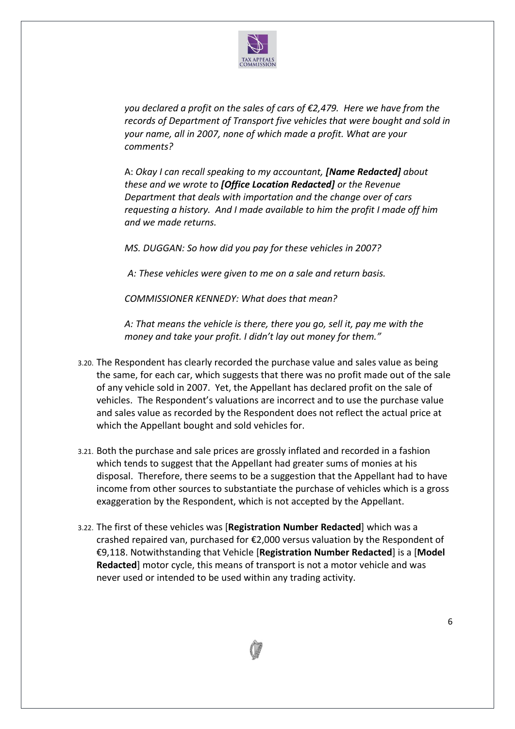

*you declared a profit on the sales of cars of €2,479. Here we have from the records of Department of Transport five vehicles that were bought and sold in your name, all in 2007, none of which made a profit. What are your comments?* 

A: *Okay I can recall speaking to my accountant, [Name Redacted] about these and we wrote to [Office Location Redacted] or the Revenue Department that deals with importation and the change over of cars requesting a history. And I made available to him the profit I made off him and we made returns.* 

*MS. DUGGAN: So how did you pay for these vehicles in 2007?* 

*A: These vehicles were given to me on a sale and return basis.* 

*COMMISSIONER KENNEDY: What does that mean?* 

*A: That means the vehicle is there, there you go, sell it, pay me with the money and take your profit. I didn't lay out money for them."*

- 3.20. The Respondent has clearly recorded the purchase value and sales value as being the same, for each car, which suggests that there was no profit made out of the sale of any vehicle sold in 2007. Yet, the Appellant has declared profit on the sale of vehicles. The Respondent's valuations are incorrect and to use the purchase value and sales value as recorded by the Respondent does not reflect the actual price at which the Appellant bought and sold vehicles for.
- 3.21. Both the purchase and sale prices are grossly inflated and recorded in a fashion which tends to suggest that the Appellant had greater sums of monies at his disposal. Therefore, there seems to be a suggestion that the Appellant had to have income from other sources to substantiate the purchase of vehicles which is a gross exaggeration by the Respondent, which is not accepted by the Appellant.
- 3.22. The first of these vehicles was [**Registration Number Redacted**] which was a crashed repaired van, purchased for €2,000 versus valuation by the Respondent of €9,118. Notwithstanding that Vehicle [**Registration Number Redacted**] is a [**Model Redacted**] motor cycle, this means of transport is not a motor vehicle and was never used or intended to be used within any trading activity.

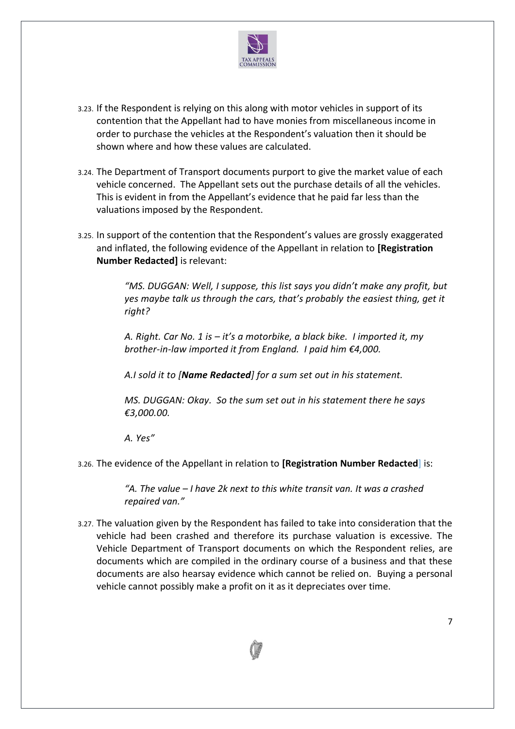

- 3.23. If the Respondent is relying on this along with motor vehicles in support of its contention that the Appellant had to have monies from miscellaneous income in order to purchase the vehicles at the Respondent's valuation then it should be shown where and how these values are calculated.
- 3.24. The Department of Transport documents purport to give the market value of each vehicle concerned. The Appellant sets out the purchase details of all the vehicles. This is evident in from the Appellant's evidence that he paid far less than the valuations imposed by the Respondent.
- 3.25. In support of the contention that the Respondent's values are grossly exaggerated and inflated, the following evidence of the Appellant in relation to **[Registration Number Redacted]** is relevant:

*"MS. DUGGAN: Well, I suppose, this list says you didn't make any profit, but yes maybe talk us through the cars, that's probably the easiest thing, get it right?*

*A. Right. Car No. 1 is – it's a motorbike, a black bike. I imported it, my brother-in-law imported it from England. I paid him €4,000.*

*A.I sold it to [Name Redacted] for a sum set out in his statement.*

*MS. DUGGAN: Okay. So the sum set out in his statement there he says €3,000.00.*

*A. Yes"*

3.26. The evidence of the Appellant in relation to **[Registration Number Redacted**] is:

*"A. The value – I have 2k next to this white transit van. It was a crashed repaired van."*

3.27. The valuation given by the Respondent has failed to take into consideration that the vehicle had been crashed and therefore its purchase valuation is excessive. The Vehicle Department of Transport documents on which the Respondent relies, are documents which are compiled in the ordinary course of a business and that these documents are also hearsay evidence which cannot be relied on. Buying a personal vehicle cannot possibly make a profit on it as it depreciates over time.

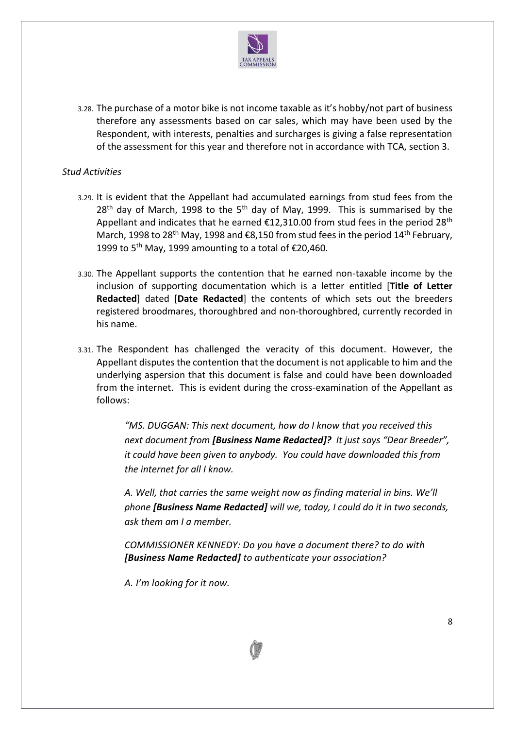

3.28. The purchase of a motor bike is not income taxable as it's hobby/not part of business therefore any assessments based on car sales, which may have been used by the Respondent, with interests, penalties and surcharges is giving a false representation of the assessment for this year and therefore not in accordance with TCA, section 3.

### *Stud Activities*

- 3.29. It is evident that the Appellant had accumulated earnings from stud fees from the  $28<sup>th</sup>$  day of March, 1998 to the 5<sup>th</sup> day of May, 1999. This is summarised by the Appellant and indicates that he earned  $£12,310.00$  from stud fees in the period 28<sup>th</sup> March, 1998 to 28<sup>th</sup> May, 1998 and  $\epsilon$ 8,150 from stud fees in the period 14<sup>th</sup> February, 1999 to 5<sup>th</sup> May, 1999 amounting to a total of  $\epsilon$ 20,460.
- 3.30. The Appellant supports the contention that he earned non-taxable income by the inclusion of supporting documentation which is a letter entitled [**Title of Letter Redacted**] dated [**Date Redacted**] the contents of which sets out the breeders registered broodmares, thoroughbred and non-thoroughbred, currently recorded in his name.
- 3.31. The Respondent has challenged the veracity of this document. However, the Appellant disputes the contention that the document is not applicable to him and the underlying aspersion that this document is false and could have been downloaded from the internet. This is evident during the cross-examination of the Appellant as follows:

*"MS. DUGGAN: This next document, how do I know that you received this next document from [Business Name Redacted]? It just says "Dear Breeder", it could have been given to anybody. You could have downloaded this from the internet for all I know.*

*A. Well, that carries the same weight now as finding material in bins. We'll phone [Business Name Redacted] will we, today, I could do it in two seconds, ask them am I a member.*

*COMMISSIONER KENNEDY: Do you have a document there? to do with [Business Name Redacted] to authenticate your association?*

*A. I'm looking for it now.*

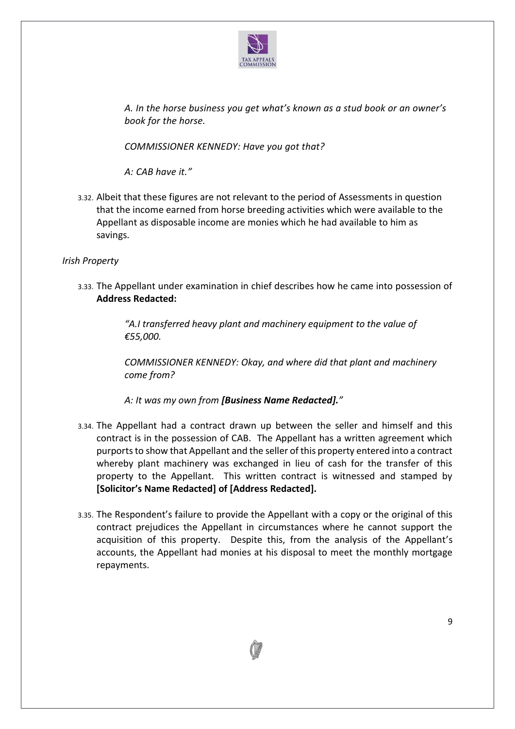

*A. In the horse business you get what's known as a stud book or an owner's book for the horse.*

*COMMISSIONER KENNEDY: Have you got that?*

*A: CAB have it."*

3.32. Albeit that these figures are not relevant to the period of Assessments in question that the income earned from horse breeding activities which were available to the Appellant as disposable income are monies which he had available to him as savings.

*Irish Property*

3.33. The Appellant under examination in chief describes how he came into possession of **Address Redacted:**

> *"A.I transferred heavy plant and machinery equipment to the value of €55,000.*

*COMMISSIONER KENNEDY: Okay, and where did that plant and machinery come from?*

*A: It was my own from [Business Name Redacted]."*

- 3.34. The Appellant had a contract drawn up between the seller and himself and this contract is in the possession of CAB. The Appellant has a written agreement which purports to show that Appellant and the seller of this property entered into a contract whereby plant machinery was exchanged in lieu of cash for the transfer of this property to the Appellant. This written contract is witnessed and stamped by **[Solicitor's Name Redacted] of [Address Redacted].**
- 3.35. The Respondent's failure to provide the Appellant with a copy or the original of this contract prejudices the Appellant in circumstances where he cannot support the acquisition of this property. Despite this, from the analysis of the Appellant's accounts, the Appellant had monies at his disposal to meet the monthly mortgage repayments.

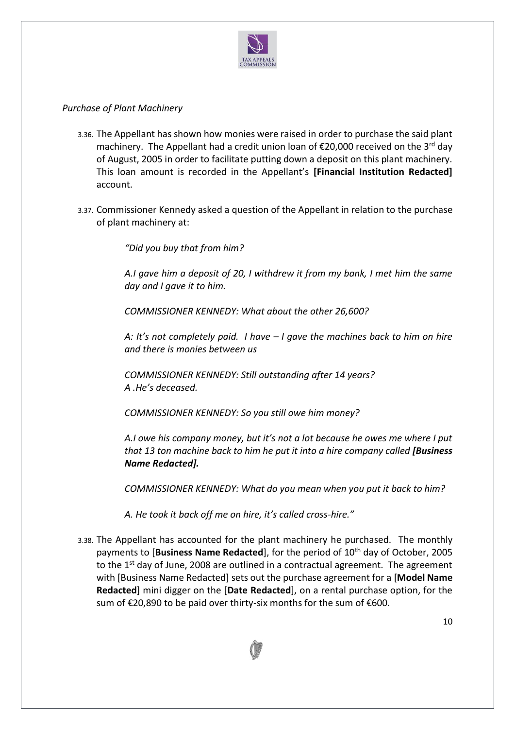

## *Purchase of Plant Machinery*

- 3.36. The Appellant has shown how monies were raised in order to purchase the said plant machinery. The Appellant had a credit union loan of €20,000 received on the 3<sup>rd</sup> day of August, 2005 in order to facilitate putting down a deposit on this plant machinery. This loan amount is recorded in the Appellant's **[Financial Institution Redacted]** account.
- 3.37. Commissioner Kennedy asked a question of the Appellant in relation to the purchase of plant machinery at:

*"Did you buy that from him?*

*A.I gave him a deposit of 20, I withdrew it from my bank, I met him the same day and I gave it to him.*

*COMMISSIONER KENNEDY: What about the other 26,600?*

*A: It's not completely paid. I have – I gave the machines back to him on hire and there is monies between us*

*COMMISSIONER KENNEDY: Still outstanding after 14 years? A .He's deceased.*

*COMMISSIONER KENNEDY: So you still owe him money?* 

*A.I owe his company money, but it's not a lot because he owes me where I put that 13 ton machine back to him he put it into a hire company called [Business Name Redacted].*

*COMMISSIONER KENNEDY: What do you mean when you put it back to him?* 

*A. He took it back off me on hire, it's called cross-hire."*

3.38. The Appellant has accounted for the plant machinery he purchased. The monthly payments to [**Business Name Redacted**], for the period of 10<sup>th</sup> day of October, 2005 to the  $1<sup>st</sup>$  day of June, 2008 are outlined in a contractual agreement. The agreement with [Business Name Redacted] sets out the purchase agreement for a [**Model Name Redacted**] mini digger on the [**Date Redacted**], on a rental purchase option, for the sum of €20,890 to be paid over thirty-six months for the sum of €600.

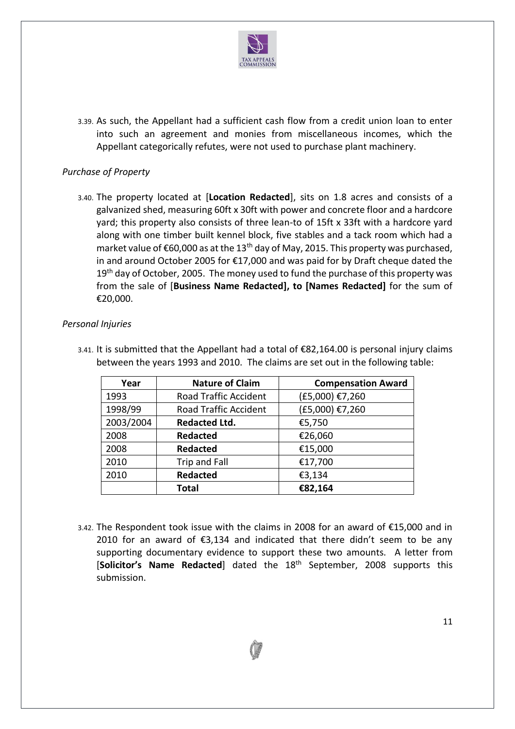

3.39. As such, the Appellant had a sufficient cash flow from a credit union loan to enter into such an agreement and monies from miscellaneous incomes, which the Appellant categorically refutes, were not used to purchase plant machinery.

## *Purchase of Property*

3.40. The property located at [**Location Redacted**], sits on 1.8 acres and consists of a galvanized shed, measuring 60ft x 30ft with power and concrete floor and a hardcore yard; this property also consists of three lean-to of 15ft x 33ft with a hardcore yard along with one timber built kennel block, five stables and a tack room which had a market value of  $\epsilon$ 60,000 as at the 13<sup>th</sup> day of May, 2015. This property was purchased, in and around October 2005 for €17,000 and was paid for by Draft cheque dated the 19<sup>th</sup> day of October, 2005. The money used to fund the purchase of this property was from the sale of [**Business Name Redacted], to [Names Redacted]** for the sum of €20,000.

### *Personal Injuries*

| Year      | <b>Nature of Claim</b>       | <b>Compensation Award</b> |
|-----------|------------------------------|---------------------------|
| 1993      | <b>Road Traffic Accident</b> | (£5,000) €7,260           |
| 1998/99   | <b>Road Traffic Accident</b> | (£5,000) €7,260           |
| 2003/2004 | <b>Redacted Ltd.</b>         | €5,750                    |
| 2008      | <b>Redacted</b>              | €26,060                   |
| 2008      | <b>Redacted</b>              | €15,000                   |
| 2010      | <b>Trip and Fall</b>         | €17,700                   |
| 2010      | <b>Redacted</b>              | €3,134                    |
|           | <b>Total</b>                 | €82,164                   |

3.41. It is submitted that the Appellant had a total of €82,164.00 is personal injury claims between the years 1993 and 2010. The claims are set out in the following table:

3.42. The Respondent took issue with the claims in 2008 for an award of €15,000 and in 2010 for an award of  $\epsilon$ 3,134 and indicated that there didn't seem to be any supporting documentary evidence to support these two amounts. A letter from [**Solicitor's Name Redacted**] dated the 18th September, 2008 supports this submission.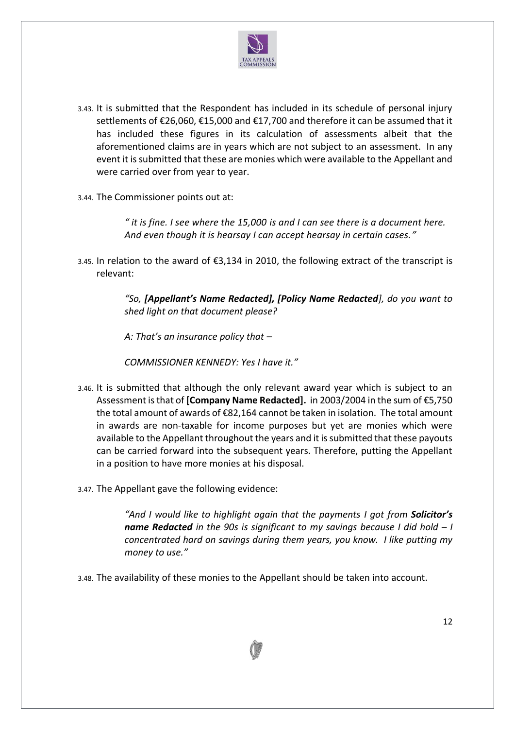

- 3.43. It is submitted that the Respondent has included in its schedule of personal injury settlements of €26,060, €15,000 and €17,700 and therefore it can be assumed that it has included these figures in its calculation of assessments albeit that the aforementioned claims are in years which are not subject to an assessment. In any event it is submitted that these are monies which were available to the Appellant and were carried over from year to year.
- 3.44. The Commissioner points out at:

*" it is fine. I see where the 15,000 is and I can see there is a document here. And even though it is hearsay I can accept hearsay in certain cases."*

3.45. In relation to the award of €3,134 in 2010, the following extract of the transcript is relevant:

> *"So, [Appellant's Name Redacted], [Policy Name Redacted], do you want to shed light on that document please?*

*A: That's an insurance policy that –*

*COMMISSIONER KENNEDY: Yes I have it."*

- 3.46. It is submitted that although the only relevant award year which is subject to an Assessment is that of **[Company Name Redacted].** in 2003/2004 in the sum of €5,750 the total amount of awards of €82,164 cannot be taken in isolation. The total amount in awards are non-taxable for income purposes but yet are monies which were available to the Appellant throughout the years and it is submitted that these payouts can be carried forward into the subsequent years. Therefore, putting the Appellant in a position to have more monies at his disposal.
- 3.47. The Appellant gave the following evidence:

*"And I would like to highlight again that the payments I got from Solicitor's name Redacted in the 90s is significant to my savings because I did hold – I concentrated hard on savings during them years, you know. I like putting my money to use."*

3.48. The availability of these monies to the Appellant should be taken into account.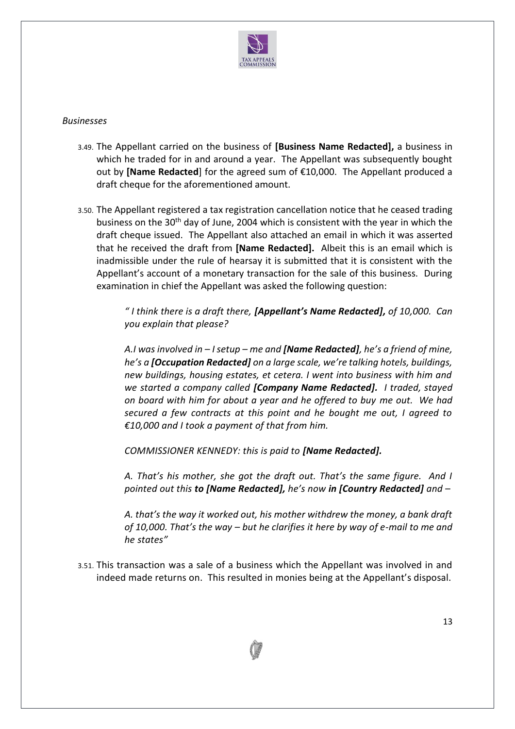

#### *Businesses*

- 3.49. The Appellant carried on the business of **[Business Name Redacted],** a business in which he traded for in and around a year. The Appellant was subsequently bought out by **[Name Redacted**] for the agreed sum of €10,000. The Appellant produced a draft cheque for the aforementioned amount.
- 3.50. The Appellant registered a tax registration cancellation notice that he ceased trading business on the 30<sup>th</sup> day of June, 2004 which is consistent with the year in which the draft cheque issued. The Appellant also attached an email in which it was asserted that he received the draft from **[Name Redacted].** Albeit this is an email which is inadmissible under the rule of hearsay it is submitted that it is consistent with the Appellant's account of a monetary transaction for the sale of this business. During examination in chief the Appellant was asked the following question:

*" I think there is a draft there, [Appellant's Name Redacted], of 10,000. Can you explain that please?*

*A.I was involved in – I setup – me and [Name Redacted], he's a friend of mine, he's a [Occupation Redacted] on a large scale, we're talking hotels, buildings, new buildings, housing estates, et cetera. I went into business with him and we started a company called [Company Name Redacted]. I traded, stayed on board with him for about a year and he offered to buy me out. We had secured a few contracts at this point and he bought me out, I agreed to €10,000 and I took a payment of that from him.*

*COMMISSIONER KENNEDY: this is paid to [Name Redacted].*

*A. That's his mother, she got the draft out. That's the same figure. And I pointed out this to [Name Redacted], he's now in [Country Redacted] and –*

*A. that's the way it worked out, his mother withdrew the money, a bank draft of 10,000. That's the way – but he clarifies it here by way of e-mail to me and he states"*

3.51. This transaction was a sale of a business which the Appellant was involved in and indeed made returns on. This resulted in monies being at the Appellant's disposal.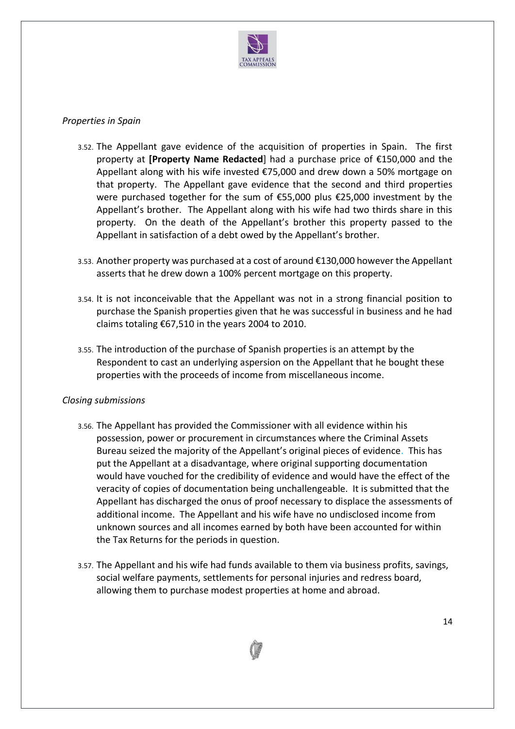

### *Properties in Spain*

- 3.52. The Appellant gave evidence of the acquisition of properties in Spain. The first property at **[Property Name Redacted**] had a purchase price of €150,000 and the Appellant along with his wife invested €75,000 and drew down a 50% mortgage on that property. The Appellant gave evidence that the second and third properties were purchased together for the sum of €55,000 plus €25,000 investment by the Appellant's brother. The Appellant along with his wife had two thirds share in this property. On the death of the Appellant's brother this property passed to the Appellant in satisfaction of a debt owed by the Appellant's brother.
- 3.53. Another property was purchased at a cost of around €130,000 however the Appellant asserts that he drew down a 100% percent mortgage on this property.
- 3.54. It is not inconceivable that the Appellant was not in a strong financial position to purchase the Spanish properties given that he was successful in business and he had claims totaling €67,510 in the years 2004 to 2010.
- 3.55. The introduction of the purchase of Spanish properties is an attempt by the Respondent to cast an underlying aspersion on the Appellant that he bought these properties with the proceeds of income from miscellaneous income.

#### *Closing submissions*

- 3.56. The Appellant has provided the Commissioner with all evidence within his possession, power or procurement in circumstances where the Criminal Assets Bureau seized the majority of the Appellant's original pieces of evidence. This has put the Appellant at a disadvantage, where original supporting documentation would have vouched for the credibility of evidence and would have the effect of the veracity of copies of documentation being unchallengeable. It is submitted that the Appellant has discharged the onus of proof necessary to displace the assessments of additional income. The Appellant and his wife have no undisclosed income from unknown sources and all incomes earned by both have been accounted for within the Tax Returns for the periods in question.
- 3.57. The Appellant and his wife had funds available to them via business profits, savings, social welfare payments, settlements for personal injuries and redress board, allowing them to purchase modest properties at home and abroad.

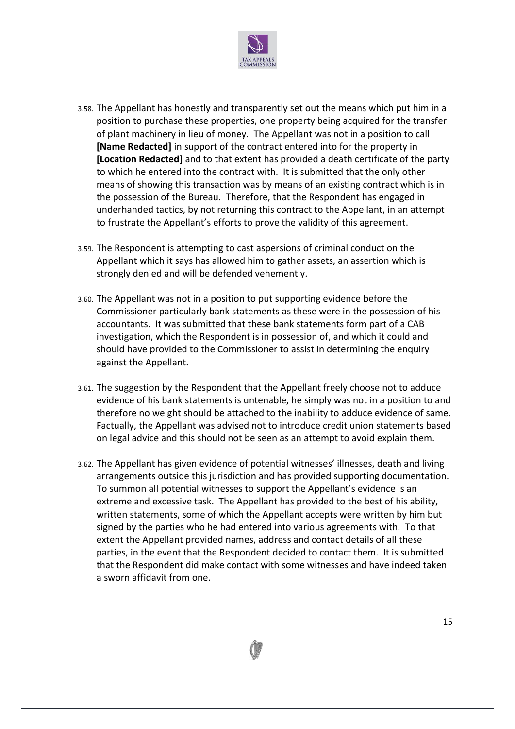

- 3.58. The Appellant has honestly and transparently set out the means which put him in a position to purchase these properties, one property being acquired for the transfer of plant machinery in lieu of money. The Appellant was not in a position to call **[Name Redacted]** in support of the contract entered into for the property in **[Location Redacted]** and to that extent has provided a death certificate of the party to which he entered into the contract with. It is submitted that the only other means of showing this transaction was by means of an existing contract which is in the possession of the Bureau. Therefore, that the Respondent has engaged in underhanded tactics, by not returning this contract to the Appellant, in an attempt to frustrate the Appellant's efforts to prove the validity of this agreement.
- 3.59. The Respondent is attempting to cast aspersions of criminal conduct on the Appellant which it says has allowed him to gather assets, an assertion which is strongly denied and will be defended vehemently.
- 3.60. The Appellant was not in a position to put supporting evidence before the Commissioner particularly bank statements as these were in the possession of his accountants. It was submitted that these bank statements form part of a CAB investigation, which the Respondent is in possession of, and which it could and should have provided to the Commissioner to assist in determining the enquiry against the Appellant.
- 3.61. The suggestion by the Respondent that the Appellant freely choose not to adduce evidence of his bank statements is untenable, he simply was not in a position to and therefore no weight should be attached to the inability to adduce evidence of same. Factually, the Appellant was advised not to introduce credit union statements based on legal advice and this should not be seen as an attempt to avoid explain them.
- 3.62. The Appellant has given evidence of potential witnesses' illnesses, death and living arrangements outside this jurisdiction and has provided supporting documentation. To summon all potential witnesses to support the Appellant's evidence is an extreme and excessive task. The Appellant has provided to the best of his ability, written statements, some of which the Appellant accepts were written by him but signed by the parties who he had entered into various agreements with. To that extent the Appellant provided names, address and contact details of all these parties, in the event that the Respondent decided to contact them. It is submitted that the Respondent did make contact with some witnesses and have indeed taken a sworn affidavit from one.

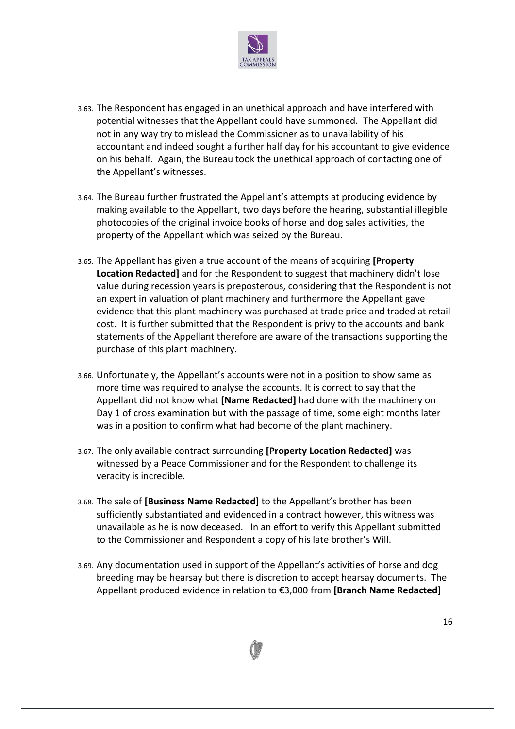

- 3.63. The Respondent has engaged in an unethical approach and have interfered with potential witnesses that the Appellant could have summoned. The Appellant did not in any way try to mislead the Commissioner as to unavailability of his accountant and indeed sought a further half day for his accountant to give evidence on his behalf. Again, the Bureau took the unethical approach of contacting one of the Appellant's witnesses.
- 3.64. The Bureau further frustrated the Appellant's attempts at producing evidence by making available to the Appellant, two days before the hearing, substantial illegible photocopies of the original invoice books of horse and dog sales activities, the property of the Appellant which was seized by the Bureau.
- 3.65. The Appellant has given a true account of the means of acquiring **[Property Location Redacted]** and for the Respondent to suggest that machinery didn't lose value during recession years is preposterous, considering that the Respondent is not an expert in valuation of plant machinery and furthermore the Appellant gave evidence that this plant machinery was purchased at trade price and traded at retail cost. It is further submitted that the Respondent is privy to the accounts and bank statements of the Appellant therefore are aware of the transactions supporting the purchase of this plant machinery.
- 3.66. Unfortunately, the Appellant's accounts were not in a position to show same as more time was required to analyse the accounts. It is correct to say that the Appellant did not know what **[Name Redacted]** had done with the machinery on Day 1 of cross examination but with the passage of time, some eight months later was in a position to confirm what had become of the plant machinery.
- 3.67. The only available contract surrounding **[Property Location Redacted]** was witnessed by a Peace Commissioner and for the Respondent to challenge its veracity is incredible.
- 3.68. The sale of **[Business Name Redacted]** to the Appellant's brother has been sufficiently substantiated and evidenced in a contract however, this witness was unavailable as he is now deceased. In an effort to verify this Appellant submitted to the Commissioner and Respondent a copy of his late brother's Will.
- 3.69. Any documentation used in support of the Appellant's activities of horse and dog breeding may be hearsay but there is discretion to accept hearsay documents. The Appellant produced evidence in relation to €3,000 from **[Branch Name Redacted]**

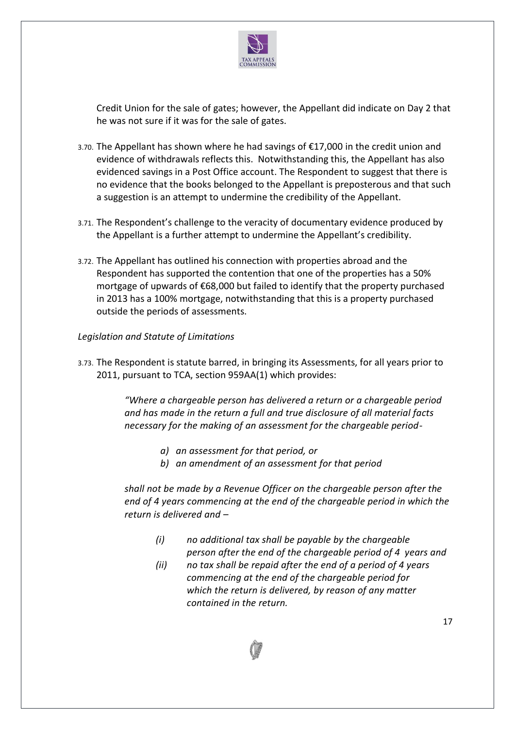

Credit Union for the sale of gates; however, the Appellant did indicate on Day 2 that he was not sure if it was for the sale of gates.

- 3.70. The Appellant has shown where he had savings of €17,000 in the credit union and evidence of withdrawals reflects this. Notwithstanding this, the Appellant has also evidenced savings in a Post Office account. The Respondent to suggest that there is no evidence that the books belonged to the Appellant is preposterous and that such a suggestion is an attempt to undermine the credibility of the Appellant.
- 3.71. The Respondent's challenge to the veracity of documentary evidence produced by the Appellant is a further attempt to undermine the Appellant's credibility.
- 3.72. The Appellant has outlined his connection with properties abroad and the Respondent has supported the contention that one of the properties has a 50% mortgage of upwards of €68,000 but failed to identify that the property purchased in 2013 has a 100% mortgage, notwithstanding that this is a property purchased outside the periods of assessments.

### *Legislation and Statute of Limitations*

3.73. The Respondent is statute barred, in bringing its Assessments, for all years prior to 2011, pursuant to TCA, section 959AA(1) which provides:

> *"Where a chargeable person has delivered a return or a chargeable period and has made in the return a full and true disclosure of all material facts necessary for the making of an assessment for the chargeable period-*

- *a) an assessment for that period, or*
- *b) an amendment of an assessment for that period*

*shall not be made by a Revenue Officer on the chargeable person after the end of 4 years commencing at the end of the chargeable period in which the return is delivered and –*

- *(i) no additional tax shall be payable by the chargeable person after the end of the chargeable period of 4 years and*
- *(ii) no tax shall be repaid after the end of a period of 4 years commencing at the end of the chargeable period for which the return is delivered, by reason of any matter contained in the return.*

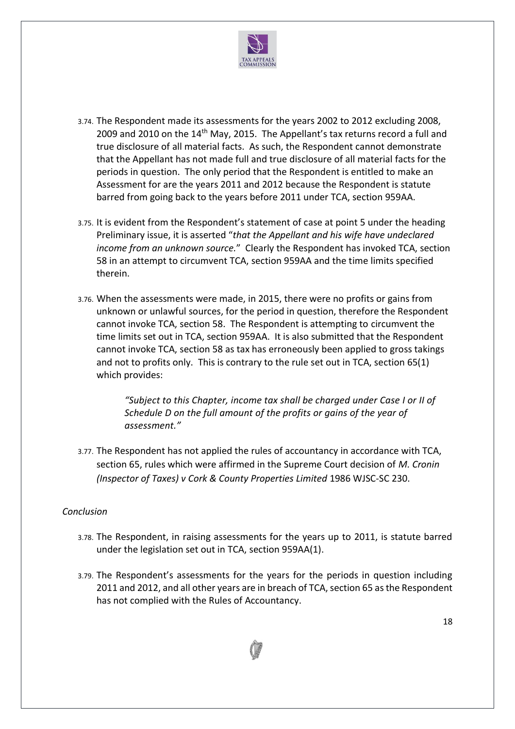

- 3.74. The Respondent made its assessments for the years 2002 to 2012 excluding 2008, 2009 and 2010 on the 14<sup>th</sup> May, 2015. The Appellant's tax returns record a full and true disclosure of all material facts. As such, the Respondent cannot demonstrate that the Appellant has not made full and true disclosure of all material facts for the periods in question. The only period that the Respondent is entitled to make an Assessment for are the years 2011 and 2012 because the Respondent is statute barred from going back to the years before 2011 under TCA, section 959AA.
- 3.75. It is evident from the Respondent's statement of case at point 5 under the heading Preliminary issue, it is asserted "*that the Appellant and his wife have undeclared income from an unknown source.*" Clearly the Respondent has invoked TCA, section 58 in an attempt to circumvent TCA, section 959AA and the time limits specified therein.
- 3.76. When the assessments were made, in 2015, there were no profits or gains from unknown or unlawful sources, for the period in question, therefore the Respondent cannot invoke TCA, section 58. The Respondent is attempting to circumvent the time limits set out in TCA, section 959AA. It is also submitted that the Respondent cannot invoke TCA, section 58 as tax has erroneously been applied to gross takings and not to profits only. This is contrary to the rule set out in TCA, section 65(1) which provides:

*"Subject to this Chapter, income tax shall be charged under Case I or II of Schedule D on the full amount of the profits or gains of the year of assessment."*

3.77. The Respondent has not applied the rules of accountancy in accordance with TCA, section 65, rules which were affirmed in the Supreme Court decision of *M. Cronin (Inspector of Taxes) v Cork & County Properties Limited* 1986 WJSC-SC 230.

# *Conclusion*

- 3.78. The Respondent, in raising assessments for the years up to 2011, is statute barred under the legislation set out in TCA, section 959AA(1).
- 3.79. The Respondent's assessments for the years for the periods in question including 2011 and 2012, and all other years are in breach of TCA, section 65 as the Respondent has not complied with the Rules of Accountancy.

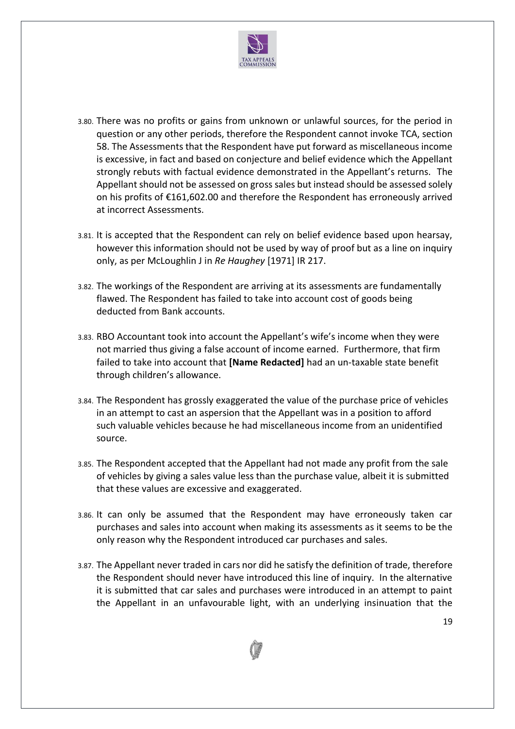

- 3.80. There was no profits or gains from unknown or unlawful sources, for the period in question or any other periods, therefore the Respondent cannot invoke TCA, section 58. The Assessments that the Respondent have put forward as miscellaneous income is excessive, in fact and based on conjecture and belief evidence which the Appellant strongly rebuts with factual evidence demonstrated in the Appellant's returns. The Appellant should not be assessed on gross sales but instead should be assessed solely on his profits of €161,602.00 and therefore the Respondent has erroneously arrived at incorrect Assessments.
- 3.81. It is accepted that the Respondent can rely on belief evidence based upon hearsay, however this information should not be used by way of proof but as a line on inquiry only, as per McLoughlin J in *Re Haughey* [1971] IR 217.
- 3.82. The workings of the Respondent are arriving at its assessments are fundamentally flawed. The Respondent has failed to take into account cost of goods being deducted from Bank accounts.
- 3.83. RBO Accountant took into account the Appellant's wife's income when they were not married thus giving a false account of income earned. Furthermore, that firm failed to take into account that **[Name Redacted]** had an un-taxable state benefit through children's allowance.
- 3.84. The Respondent has grossly exaggerated the value of the purchase price of vehicles in an attempt to cast an aspersion that the Appellant was in a position to afford such valuable vehicles because he had miscellaneous income from an unidentified source.
- 3.85. The Respondent accepted that the Appellant had not made any profit from the sale of vehicles by giving a sales value less than the purchase value, albeit it is submitted that these values are excessive and exaggerated.
- 3.86. It can only be assumed that the Respondent may have erroneously taken car purchases and sales into account when making its assessments as it seems to be the only reason why the Respondent introduced car purchases and sales.
- 3.87. The Appellant never traded in cars nor did he satisfy the definition of trade, therefore the Respondent should never have introduced this line of inquiry. In the alternative it is submitted that car sales and purchases were introduced in an attempt to paint the Appellant in an unfavourable light, with an underlying insinuation that the

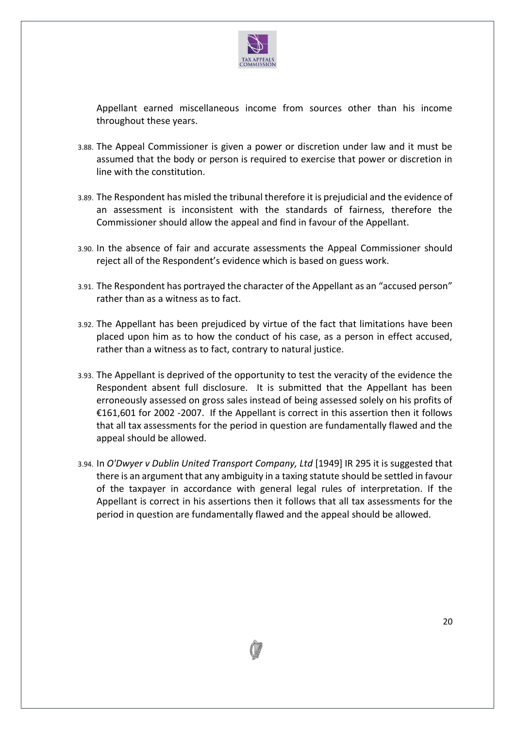

Appellant earned miscellaneous income from sources other than his income throughout these years.

- 3.88. The Appeal Commissioner is given a power or discretion under law and it must be assumed that the body or person is required to exercise that power or discretion in line with the constitution.
- 3.89. The Respondent has misled the tribunal therefore it is prejudicial and the evidence of an assessment is inconsistent with the standards of fairness, therefore the Commissioner should allow the appeal and find in favour of the Appellant.
- 3.90. In the absence of fair and accurate assessments the Appeal Commissioner should reject all of the Respondent's evidence which is based on guess work.
- 3.91. The Respondent has portrayed the character of the Appellant as an "accused person" rather than as a witness as to fact.
- 3.92. The Appellant has been prejudiced by virtue of the fact that limitations have been placed upon him as to how the conduct of his case, as a person in effect accused, rather than a witness as to fact, contrary to natural justice.
- 3.93. The Appellant is deprived of the opportunity to test the veracity of the evidence the Respondent absent full disclosure. It is submitted that the Appellant has been erroneously assessed on gross sales instead of being assessed solely on his profits of €161,601 for 2002 -2007. If the Appellant is correct in this assertion then it follows that all tax assessments for the period in question are fundamentally flawed and the appeal should be allowed.
- 3.94. In *O'Dwyer v Dublin United Transport Company, Ltd* [1949] IR 295 it is suggested that there is an argument that any ambiguity in a taxing statute should be settled in favour of the taxpayer in accordance with general legal rules of interpretation. If the Appellant is correct in his assertions then it follows that all tax assessments for the period in question are fundamentally flawed and the appeal should be allowed.

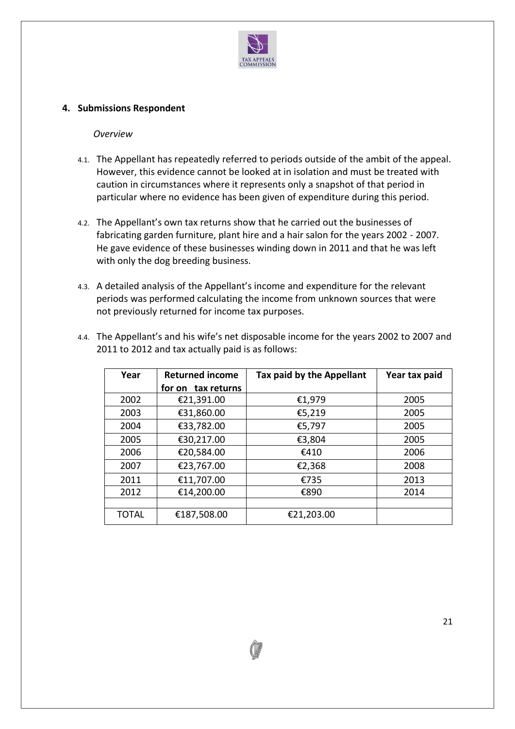

## **4. Submissions Respondent**

#### *Overview*

- 4.1. The Appellant has repeatedly referred to periods outside of the ambit of the appeal. However, this evidence cannot be looked at in isolation and must be treated with caution in circumstances where it represents only a snapshot of that period in particular where no evidence has been given of expenditure during this period.
- 4.2. The Appellant's own tax returns show that he carried out the businesses of fabricating garden furniture, plant hire and a hair salon for the years 2002 - 2007. He gave evidence of these businesses winding down in 2011 and that he was left with only the dog breeding business.
- 4.3. A detailed analysis of the Appellant's income and expenditure for the relevant periods was performed calculating the income from unknown sources that were not previously returned for income tax purposes.

| Year         | <b>Returned income</b> | Tax paid by the Appellant | Year tax paid |
|--------------|------------------------|---------------------------|---------------|
|              | tax returns<br>for on  |                           |               |
| 2002         | €21,391.00             | €1,979                    | 2005          |
| 2003         | €31,860.00             | €5,219                    | 2005          |
| 2004         | €33,782.00             | €5,797                    | 2005          |
| 2005         | €30,217.00             | €3,804                    | 2005          |
| 2006         | €20,584.00             | €410                      | 2006          |
| 2007         | €23,767.00             | €2,368                    | 2008          |
| 2011         | €11,707.00             | €735                      | 2013          |
| 2012         | €14,200.00             | €890                      | 2014          |
|              |                        |                           |               |
| <b>TOTAL</b> | €187,508.00            | €21,203.00                |               |

4.4. The Appellant's and his wife's net disposable income for the years 2002 to 2007 and 2011 to 2012 and tax actually paid is as follows: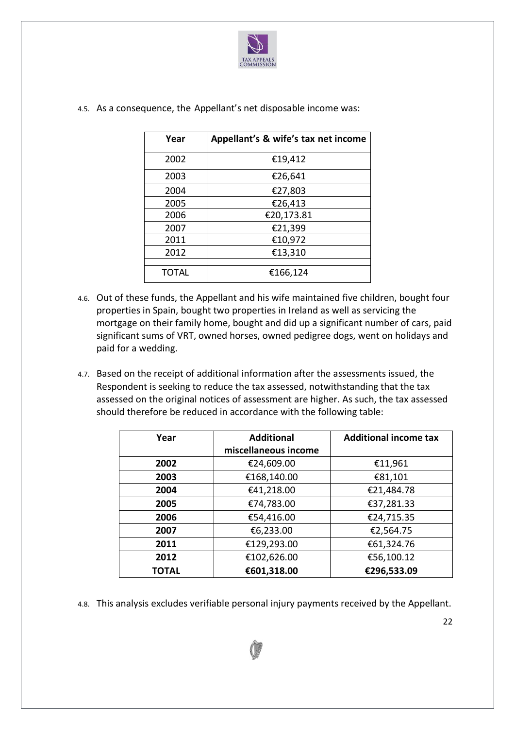

| Year         | Appellant's & wife's tax net income |
|--------------|-------------------------------------|
| 2002         | €19,412                             |
| 2003         | €26,641                             |
| 2004         | €27,803                             |
| 2005         | €26,413                             |
| 2006         | €20,173.81                          |
| 2007         | €21,399                             |
| 2011         | €10,972                             |
| 2012         | €13,310                             |
| <b>TOTAL</b> | €166,124                            |

4.5. As a consequence, the Appellant's net disposable income was:

- 4.6. Out of these funds, the Appellant and his wife maintained five children, bought four properties in Spain, bought two properties in Ireland as well as servicing the mortgage on their family home, bought and did up a significant number of cars, paid significant sums of VRT, owned horses, owned pedigree dogs, went on holidays and paid for a wedding.
- 4.7. Based on the receipt of additional information after the assessments issued, the Respondent is seeking to reduce the tax assessed, notwithstanding that the tax assessed on the original notices of assessment are higher. As such, the tax assessed should therefore be reduced in accordance with the following table:

| Year  | <b>Additional</b>    | <b>Additional income tax</b> |
|-------|----------------------|------------------------------|
|       | miscellaneous income |                              |
| 2002  | €24,609.00           | €11,961                      |
| 2003  | €168,140.00          | €81,101                      |
| 2004  | €41,218.00           | €21,484.78                   |
| 2005  | €74,783.00           | €37,281.33                   |
| 2006  | €54,416.00           | €24,715.35                   |
| 2007  | €6,233.00            | €2,564.75                    |
| 2011  | €129,293.00          | €61,324.76                   |
| 2012  | €102,626.00          | €56,100.12                   |
| TOTAL | €601,318.00          | €296,533.09                  |

4.8. This analysis excludes verifiable personal injury payments received by the Appellant.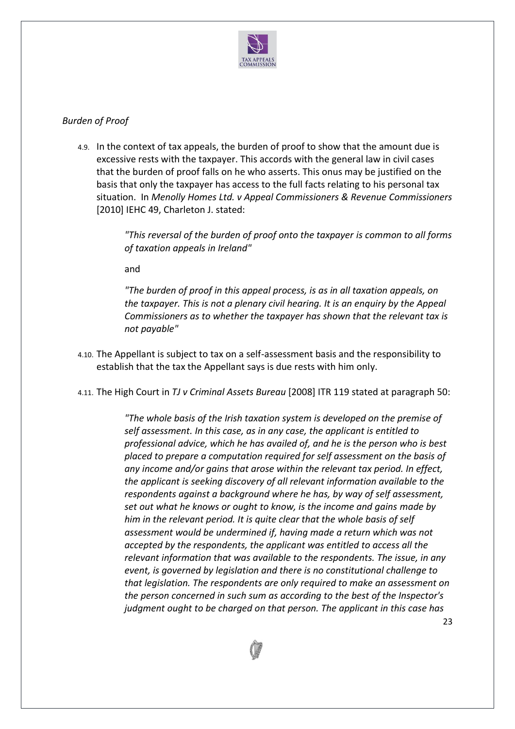

## *Burden of Proof*

4.9. In the context of tax appeals, the burden of proof to show that the amount due is excessive rests with the taxpayer. This accords with the general law in civil cases that the burden of proof falls on he who asserts. This onus may be justified on the basis that only the taxpayer has access to the full facts relating to his personal tax situation. In *Menolly Homes Ltd. v Appeal Commissioners & Revenue Commissioners* [2010] IEHC 49, Charleton J. stated:

> *"This reversal of the burden of proof onto the taxpayer is common to all forms of taxation appeals in Ireland"*

and

*"The burden of proof in this appeal process, is as in all taxation appeals, on the taxpayer. This is not a plenary civil hearing. It is an enquiry by the Appeal Commissioners as to whether the taxpayer has shown that the relevant tax is not payable"*

- 4.10. The Appellant is subject to tax on a self-assessment basis and the responsibility to establish that the tax the Appellant says is due rests with him only.
- 4.11. The High Court in *TJ v Criminal Assets Bureau* [2008] ITR 119 stated at paragraph 50:

*"The whole basis of the Irish taxation system is developed on the premise of self assessment. In this case, as in any case, the applicant is entitled to professional advice, which he has availed of, and he is the person who is best placed to prepare a computation required for self assessment on the basis of any income and/or gains that arose within the relevant tax period. In effect, the applicant is seeking discovery of all relevant information available to the respondents against a background where he has, by way of self assessment, set out what he knows or ought to know, is the income and gains made by him in the relevant period. It is quite clear that the whole basis of self assessment would be undermined if, having made a return which was not accepted by the respondents, the applicant was entitled to access all the relevant information that was available to the respondents. The issue, in any event, is governed by legislation and there is no constitutional challenge to that legislation. The respondents are only required to make an assessment on the person concerned in such sum as according to the best of the Inspector's judgment ought to be charged on that person. The applicant in this case has* 

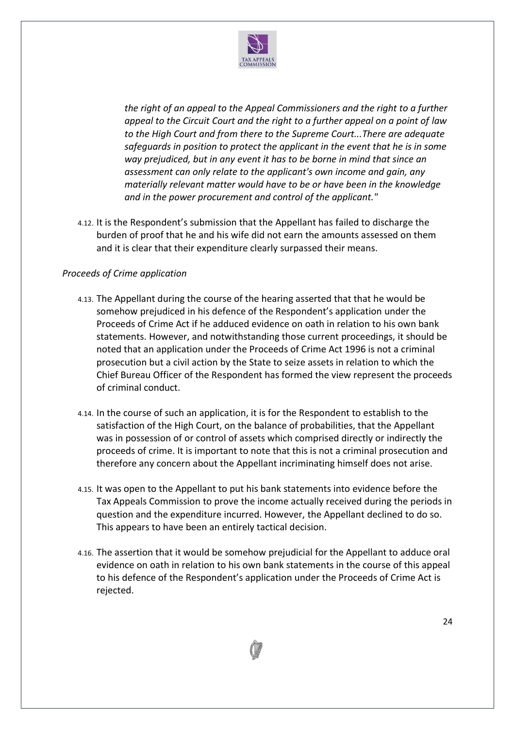

*the right of an appeal to the Appeal Commissioners and the right to a further appeal to the Circuit Court and the right to a further appeal on a point of law to the High Court and from there to the Supreme Court...There are adequate safeguards in position to protect the applicant in the event that he is in some way prejudiced, but in any event it has to be borne in mind that since an assessment can only relate to the applicant's own income and gain, any materially relevant matter would have to be or have been in the knowledge and in the power procurement and control of the applicant."*

4.12. It is the Respondent's submission that the Appellant has failed to discharge the burden of proof that he and his wife did not earn the amounts assessed on them and it is clear that their expenditure clearly surpassed their means.

## *Proceeds of Crime application*

- 4.13. The Appellant during the course of the hearing asserted that that he would be somehow prejudiced in his defence of the Respondent's application under the Proceeds of Crime Act if he adduced evidence on oath in relation to his own bank statements. However, and notwithstanding those current proceedings, it should be noted that an application under the Proceeds of Crime Act 1996 is not a criminal prosecution but a civil action by the State to seize assets in relation to which the Chief Bureau Officer of the Respondent has formed the view represent the proceeds of criminal conduct.
- 4.14. In the course of such an application, it is for the Respondent to establish to the satisfaction of the High Court, on the balance of probabilities, that the Appellant was in possession of or control of assets which comprised directly or indirectly the proceeds of crime. It is important to note that this is not a criminal prosecution and therefore any concern about the Appellant incriminating himself does not arise.
- 4.15. It was open to the Appellant to put his bank statements into evidence before the Tax Appeals Commission to prove the income actually received during the periods in question and the expenditure incurred. However, the Appellant declined to do so. This appears to have been an entirely tactical decision.
- 4.16. The assertion that it would be somehow prejudicial for the Appellant to adduce oral evidence on oath in relation to his own bank statements in the course of this appeal to his defence of the Respondent's application under the Proceeds of Crime Act is rejected.

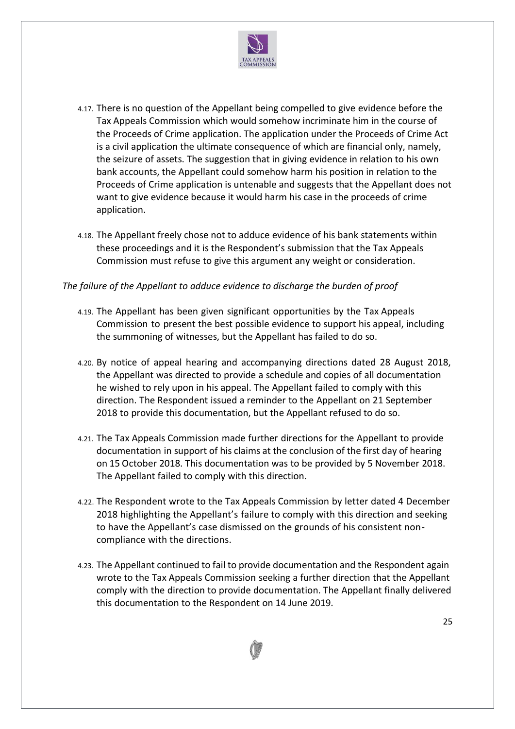

- 4.17. There is no question of the Appellant being compelled to give evidence before the Tax Appeals Commission which would somehow incriminate him in the course of the Proceeds of Crime application. The application under the Proceeds of Crime Act is a civil application the ultimate consequence of which are financial only, namely, the seizure of assets. The suggestion that in giving evidence in relation to his own bank accounts, the Appellant could somehow harm his position in relation to the Proceeds of Crime application is untenable and suggests that the Appellant does not want to give evidence because it would harm his case in the proceeds of crime application.
- 4.18. The Appellant freely chose not to adduce evidence of his bank statements within these proceedings and it is the Respondent's submission that the Tax Appeals Commission must refuse to give this argument any weight or consideration.

### *The failure of the Appellant to adduce evidence to discharge the burden of proof*

- 4.19. The Appellant has been given significant opportunities by the Tax Appeals Commission to present the best possible evidence to support his appeal, including the summoning of witnesses, but the Appellant has failed to do so.
- 4.20. By notice of appeal hearing and accompanying directions dated 28 August 2018, the Appellant was directed to provide a schedule and copies of all documentation he wished to rely upon in his appeal. The Appellant failed to comply with this direction. The Respondent issued a reminder to the Appellant on 21 September 2018 to provide this documentation, but the Appellant refused to do so.
- 4.21. The Tax Appeals Commission made further directions for the Appellant to provide documentation in support of his claims at the conclusion of the first day of hearing on 15 October 2018. This documentation was to be provided by 5 November 2018. The Appellant failed to comply with this direction.
- 4.22. The Respondent wrote to the Tax Appeals Commission by letter dated 4 December 2018 highlighting the Appellant's failure to comply with this direction and seeking to have the Appellant's case dismissed on the grounds of his consistent noncompliance with the directions.
- 4.23. The Appellant continued to fail to provide documentation and the Respondent again wrote to the Tax Appeals Commission seeking a further direction that the Appellant comply with the direction to provide documentation. The Appellant finally delivered this documentation to the Respondent on 14 June 2019.

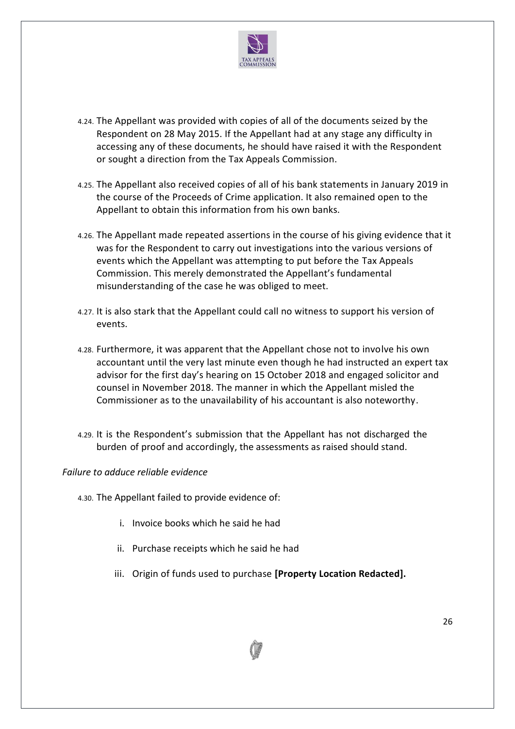

- 4.24. The Appellant was provided with copies of all of the documents seized by the Respondent on 28 May 2015. If the Appellant had at any stage any difficulty in accessing any of these documents, he should have raised it with the Respondent or sought a direction from the Tax Appeals Commission.
- 4.25. The Appellant also received copies of all of his bank statements in January 2019 in the course of the Proceeds of Crime application. It also remained open to the Appellant to obtain this information from his own banks.
- 4.26. The Appellant made repeated assertions in the course of his giving evidence that it was for the Respondent to carry out investigations into the various versions of events which the Appellant was attempting to put before the Tax Appeals Commission. This merely demonstrated the Appellant's fundamental misunderstanding of the case he was obliged to meet.
- 4.27. It is also stark that the Appellant could call no witness to support his version of events.
- 4.28. Furthermore, it was apparent that the Appellant chose not to involve his own accountant until the very last minute even though he had instructed an expert tax advisor for the first day's hearing on 15 October 2018 and engaged solicitor and counsel in November 2018. The manner in which the Appellant misled the Commissioner as to the unavailability of his accountant is also noteworthy.
- 4.29. It is the Respondent's submission that the Appellant has not discharged the burden of proof and accordingly, the assessments as raised should stand.

### *Failure to adduce reliable evidence*

- 4.30. The Appellant failed to provide evidence of:
	- i. Invoice books which he said he had
	- ii. Purchase receipts which he said he had
	- iii. Origin of funds used to purchase **[Property Location Redacted].**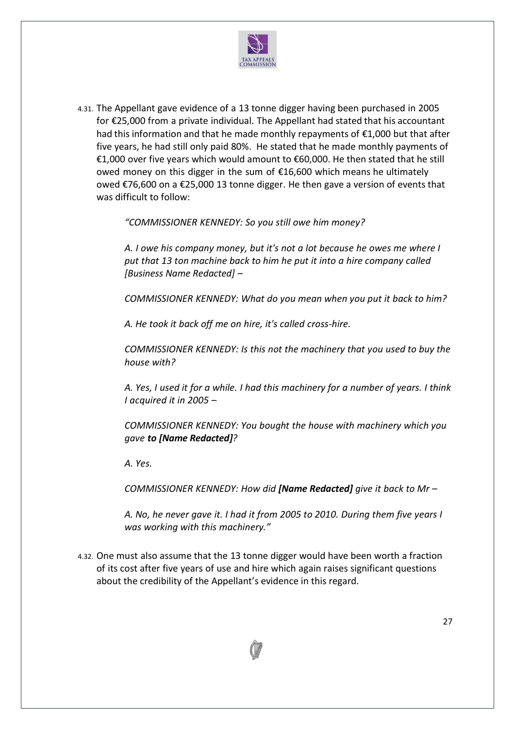

4.31. The Appellant gave evidence of a 13 tonne digger having been purchased in 2005 for €25,000 from a private individual. The Appellant had stated that his accountant had this information and that he made monthly repayments of €1,000 but that after five years, he had still only paid 80%. He stated that he made monthly payments of €1,000 over five years which would amount to €60,000. He then stated that he still owed money on this digger in the sum of €16,600 which means he ultimately owed €76,600 on a €25,000 13 tonne digger. He then gave a version of events that was difficult to follow:

*"COMMISSIONER KENNEDY: So you still owe him money?* 

*A. I owe his company money, but it's not a lot because he owes me where I put that 13 ton machine back to him he put it into a hire company called [Business Name Redacted] –*

*COMMISSIONER KENNEDY: What do you mean when you put it back to him?*

*A. He took it back off me on hire, it's called cross-hire.* 

*COMMISSIONER KENNEDY: Is this not the machinery that you used to buy the house with?*

*A. Yes, I used it for a while. I had this machinery for a number of years. I think I acquired it in 2005 –*

*COMMISSIONER KENNEDY: You bought the house with machinery which you gave to [Name Redacted]?*

*A. Yes.*

*COMMISSIONER KENNEDY: How did [Name Redacted] give it back to Mr –*

*A. No, he never gave it. I had it from 2005 to 2010. During them five years I was working with this machinery."*

4.32. One must also assume that the 13 tonne digger would have been worth a fraction of its cost after five years of use and hire which again raises significant questions about the credibility of the Appellant's evidence in this regard.

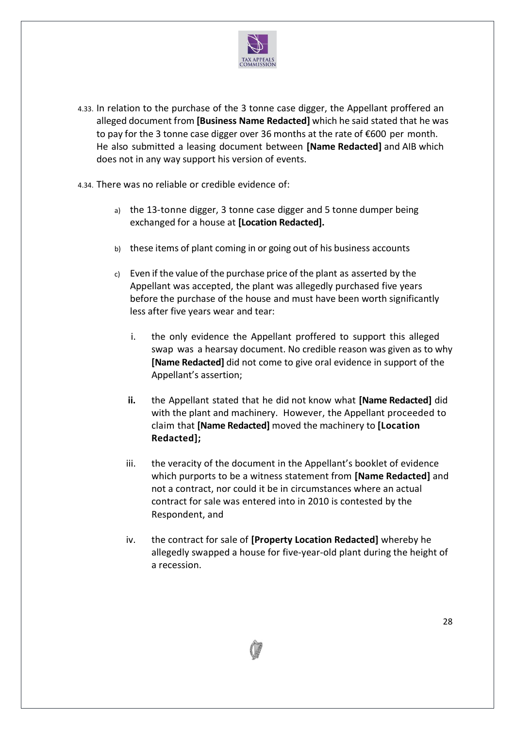

- 4.33. In relation to the purchase of the 3 tonne case digger, the Appellant proffered an alleged document from **[Business Name Redacted]** which he said stated that he was to pay for the 3 tonne case digger over 36 months at the rate of €600 per month. He also submitted a leasing document between **[Name Redacted]** and AIB which does not in any way support his version of events.
- 4.34. There was no reliable or credible evidence of:
	- a) the 13-tonne digger, 3 tonne case digger and 5 tonne dumper being exchanged for a house at **[Location Redacted].**
	- b) these items of plant coming in or going out of his business accounts
	- c) Even if the value of the purchase price of the plant as asserted by the Appellant was accepted, the plant was allegedly purchased five years before the purchase of the house and must have been worth significantly less after five years wear and tear:
		- i. the only evidence the Appellant proffered to support this alleged swap was a hearsay document. No credible reason was given as to why **[Name Redacted]** did not come to give oral evidence in support of the Appellant's assertion;
		- **ii.** the Appellant stated that he did not know what **[Name Redacted]** did with the plant and machinery. However, the Appellant proceeded to claim that **[Name Redacted]** moved the machinery to **[Location Redacted];**
		- iii. the veracity of the document in the Appellant's booklet of evidence which purports to be a witness statement from **[Name Redacted]** and not a contract, nor could it be in circumstances where an actual contract for sale was entered into in 2010 is contested by the Respondent, and
		- iv. the contract for sale of **[Property Location Redacted]** whereby he allegedly swapped a house for five-year-old plant during the height of a recession.

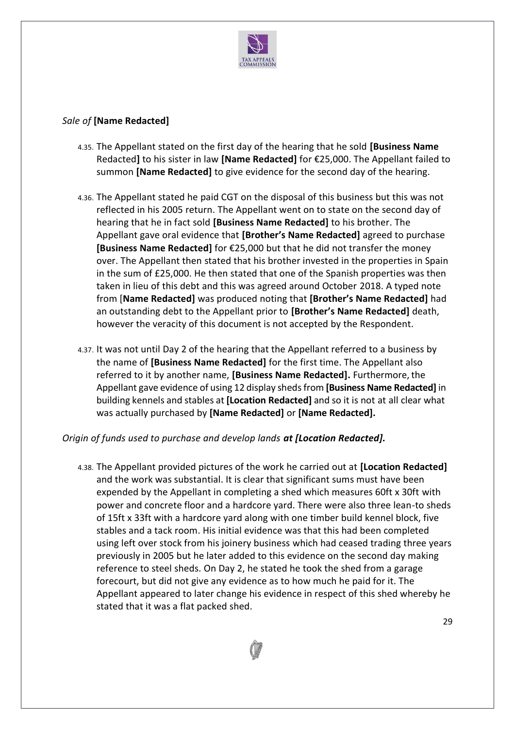

### *Sale of* **[Name Redacted]**

- 4.35. The Appellant stated on the first day of the hearing that he sold **[Business Name**  Redacted**]** to his sister in law **[Name Redacted]** for €25,000. The Appellant failed to summon **[Name Redacted]** to give evidence for the second day of the hearing.
- 4.36. The Appellant stated he paid CGT on the disposal of this business but this was not reflected in his 2005 return. The Appellant went on to state on the second day of hearing that he in fact sold **[Business Name Redacted]** to his brother. The Appellant gave oral evidence that **[Brother's Name Redacted]** agreed to purchase **[Business Name Redacted]** for €25,000 but that he did not transfer the money over. The Appellant then stated that his brother invested in the properties in Spain in the sum of £25,000. He then stated that one of the Spanish properties was then taken in lieu of this debt and this was agreed around October 2018. A typed note from [**Name Redacted]** was produced noting that **[Brother's Name Redacted]** had an outstanding debt to the Appellant prior to **[Brother's Name Redacted]** death, however the veracity of this document is not accepted by the Respondent.
- 4.37. It was not until Day 2 of the hearing that the Appellant referred to a business by the name of **[Business Name Redacted]** for the first time. The Appellant also referred to it by another name, **[Business Name Redacted].** Furthermore, the Appellant gave evidence of using 12 display shedsfrom **[Business Name Redacted]** in building kennels and stables at **[Location Redacted]** and so it is not at all clear what was actually purchased by **[Name Redacted]** or **[Name Redacted].**

### *Origin of funds used to purchase and develop lands at [Location Redacted].*

4.38. The Appellant provided pictures of the work he carried out at **[Location Redacted]** and the work was substantial. It is clear that significant sums must have been expended by the Appellant in completing a shed which measures 60ft x 30ft with power and concrete floor and a hardcore yard. There were also three lean-to sheds of 15ft x 33ft with a hardcore yard along with one timber build kennel block, five stables and a tack room. His initial evidence was that this had been completed using left over stock from his joinery business which had ceased trading three years previously in 2005 but he later added to this evidence on the second day making reference to steel sheds. On Day 2, he stated he took the shed from a garage forecourt, but did not give any evidence as to how much he paid for it. The Appellant appeared to later change his evidence in respect of this shed whereby he stated that it was a flat packed shed.

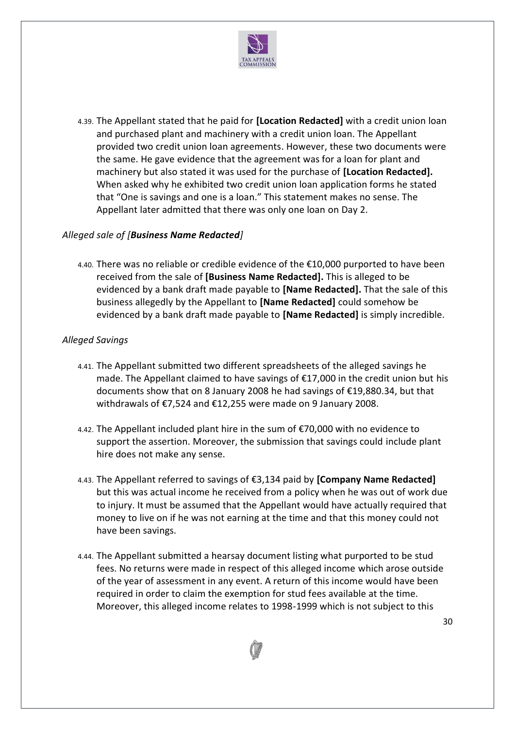

4.39. The Appellant stated that he paid for **[Location Redacted]** with a credit union loan and purchased plant and machinery with a credit union loan. The Appellant provided two credit union loan agreements. However, these two documents were the same. He gave evidence that the agreement was for a loan for plant and machinery but also stated it was used for the purchase of **[Location Redacted].** When asked why he exhibited two credit union loan application forms he stated that "One is savings and one is a loan." This statement makes no sense. The Appellant later admitted that there was only one loan on Day 2.

### *Alleged sale of [Business Name Redacted]*

4.40. There was no reliable or credible evidence of the €10,000 purported to have been received from the sale of **[Business Name Redacted].** This is alleged to be evidenced by a bank draft made payable to **[Name Redacted].** That the sale of this business allegedly by the Appellant to **[Name Redacted]** could somehow be evidenced by a bank draft made payable to **[Name Redacted]** is simply incredible.

## *Alleged Savings*

- 4.41. The Appellant submitted two different spreadsheets of the alleged savings he made. The Appellant claimed to have savings of €17,000 in the credit union but his documents show that on 8 January 2008 he had savings of €19,880.34, but that withdrawals of €7,524 and €12,255 were made on 9 January 2008.
- 4.42. The Appellant included plant hire in the sum of €70,000 with no evidence to support the assertion. Moreover, the submission that savings could include plant hire does not make any sense.
- 4.43. The Appellant referred to savings of €3,134 paid by **[Company Name Redacted]** but this was actual income he received from a policy when he was out of work due to injury. It must be assumed that the Appellant would have actually required that money to live on if he was not earning at the time and that this money could not have been savings.
- 4.44. The Appellant submitted a hearsay document listing what purported to be stud fees. No returns were made in respect of this alleged income which arose outside of the year of assessment in any event. A return of this income would have been required in order to claim the exemption for stud fees available at the time. Moreover, this alleged income relates to 1998-1999 which is not subject to this

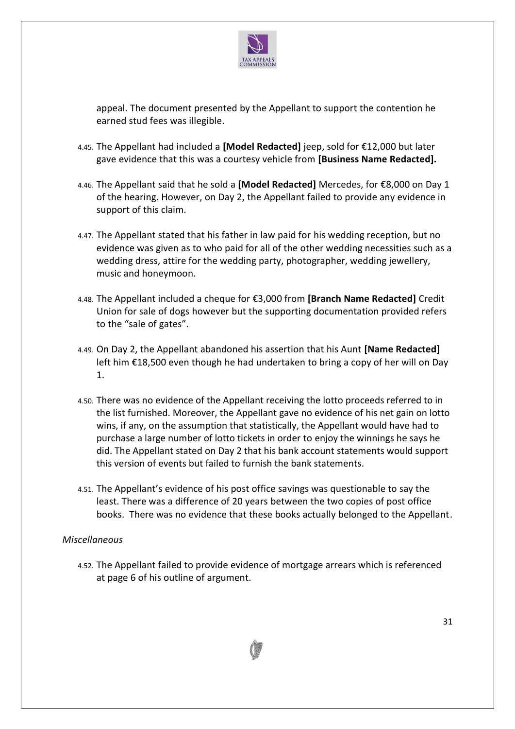

appeal. The document presented by the Appellant to support the contention he earned stud fees was illegible.

- 4.45. The Appellant had included a **[Model Redacted]** jeep, sold for €12,000 but later gave evidence that this was a courtesy vehicle from **[Business Name Redacted].**
- 4.46. The Appellant said that he sold a **[Model Redacted]** Mercedes, for €8,000 on Day 1 of the hearing. However, on Day 2, the Appellant failed to provide any evidence in support of this claim.
- 4.47. The Appellant stated that his father in law paid for his wedding reception, but no evidence was given as to who paid for all of the other wedding necessities such as a wedding dress, attire for the wedding party, photographer, wedding jewellery, music and honeymoon.
- 4.48. The Appellant included a cheque for €3,000 from **[Branch Name Redacted]** Credit Union for sale of dogs however but the supporting documentation provided refers to the "sale of gates".
- 4.49. On Day 2, the Appellant abandoned his assertion that his Aunt **[Name Redacted]** left him €18,500 even though he had undertaken to bring a copy of her will on Day 1.
- 4.50. There was no evidence of the Appellant receiving the lotto proceeds referred to in the list furnished. Moreover, the Appellant gave no evidence of his net gain on lotto wins, if any, on the assumption that statistically, the Appellant would have had to purchase a large number of lotto tickets in order to enjoy the winnings he says he did. The Appellant stated on Day 2 that his bank account statements would support this version of events but failed to furnish the bank statements.
- 4.51. The Appellant's evidence of his post office savings was questionable to say the least. There was a difference of 20 years between the two copies of post office books. There was no evidence that these books actually belonged to the Appellant.

### *Miscellaneous*

4.52. The Appellant failed to provide evidence of mortgage arrears which is referenced at page 6 of his outline of argument.

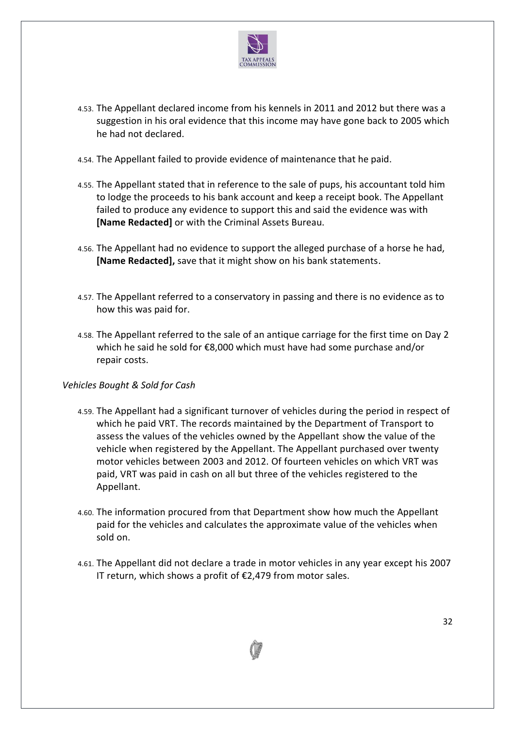

- 4.53. The Appellant declared income from his kennels in 2011 and 2012 but there was a suggestion in his oral evidence that this income may have gone back to 2005 which he had not declared.
- 4.54. The Appellant failed to provide evidence of maintenance that he paid.
- 4.55. The Appellant stated that in reference to the sale of pups, his accountant told him to lodge the proceeds to his bank account and keep a receipt book. The Appellant failed to produce any evidence to support this and said the evidence was with **[Name Redacted]** or with the Criminal Assets Bureau.
- 4.56. The Appellant had no evidence to support the alleged purchase of a horse he had, **[Name Redacted],** save that it might show on his bank statements.
- 4.57. The Appellant referred to a conservatory in passing and there is no evidence as to how this was paid for.
- 4.58. The Appellant referred to the sale of an antique carriage for the first time on Day 2 which he said he sold for €8,000 which must have had some purchase and/or repair costs.

### *Vehicles Bought & Sold for Cash*

- 4.59. The Appellant had a significant turnover of vehicles during the period in respect of which he paid VRT. The records maintained by the Department of Transport to assess the values of the vehicles owned by the Appellant show the value of the vehicle when registered by the Appellant. The Appellant purchased over twenty motor vehicles between 2003 and 2012. Of fourteen vehicles on which VRT was paid, VRT was paid in cash on all but three of the vehicles registered to the Appellant.
- 4.60. The information procured from that Department show how much the Appellant paid for the vehicles and calculates the approximate value of the vehicles when sold on.
- 4.61. The Appellant did not declare a trade in motor vehicles in any year except his 2007 IT return, which shows a profit of €2,479 from motor sales.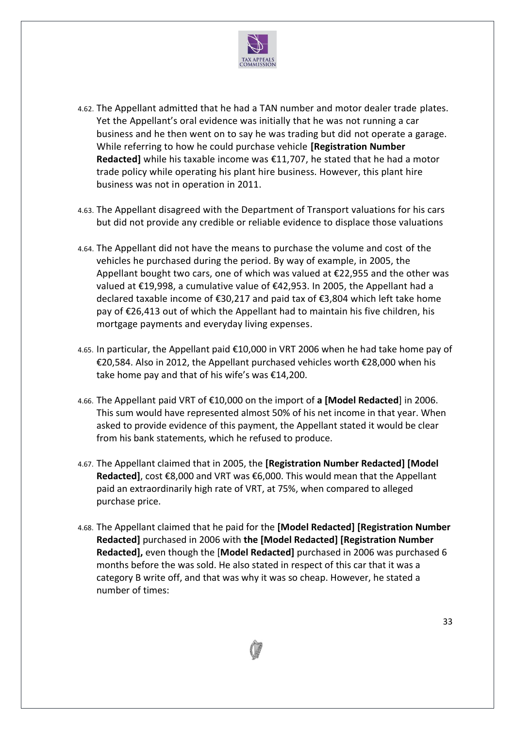

- 4.62. The Appellant admitted that he had a TAN number and motor dealer trade plates. Yet the Appellant's oral evidence was initially that he was not running a car business and he then went on to say he was trading but did not operate a garage. While referring to how he could purchase vehicle **[Registration Number Redacted]** while his taxable income was €11,707, he stated that he had a motor trade policy while operating his plant hire business. However, this plant hire business was not in operation in 2011.
- 4.63. The Appellant disagreed with the Department of Transport valuations for his cars but did not provide any credible or reliable evidence to displace those valuations
- 4.64. The Appellant did not have the means to purchase the volume and cost of the vehicles he purchased during the period. By way of example, in 2005, the Appellant bought two cars, one of which was valued at €22,955 and the other was valued at €19,998, a cumulative value of €42,953. In 2005, the Appellant had a declared taxable income of €30,217 and paid tax of €3,804 which left take home pay of €26,413 out of which the Appellant had to maintain his five children, his mortgage payments and everyday living expenses.
- 4.65. In particular, the Appellant paid €10,000 in VRT 2006 when he had take home pay of €20,584. Also in 2012, the Appellant purchased vehicles worth €28,000 when his take home pay and that of his wife's was €14,200.
- 4.66. The Appellant paid VRT of €10,000 on the import of **a [Model Redacted**] in 2006. This sum would have represented almost 50% of his net income in that year. When asked to provide evidence of this payment, the Appellant stated it would be clear from his bank statements, which he refused to produce.
- 4.67. The Appellant claimed that in 2005, the **[Registration Number Redacted] [Model Redacted]**, cost €8,000 and VRT was €6,000. This would mean that the Appellant paid an extraordinarily high rate of VRT, at 75%, when compared to alleged purchase price.
- 4.68. The Appellant claimed that he paid for the **[Model Redacted] [Registration Number Redacted]** purchased in 2006 with **the [Model Redacted] [Registration Number Redacted],** even though the [**Model Redacted]** purchased in 2006 was purchased 6 months before the was sold. He also stated in respect of this car that it was a category B write off, and that was why it was so cheap. However, he stated a number of times:

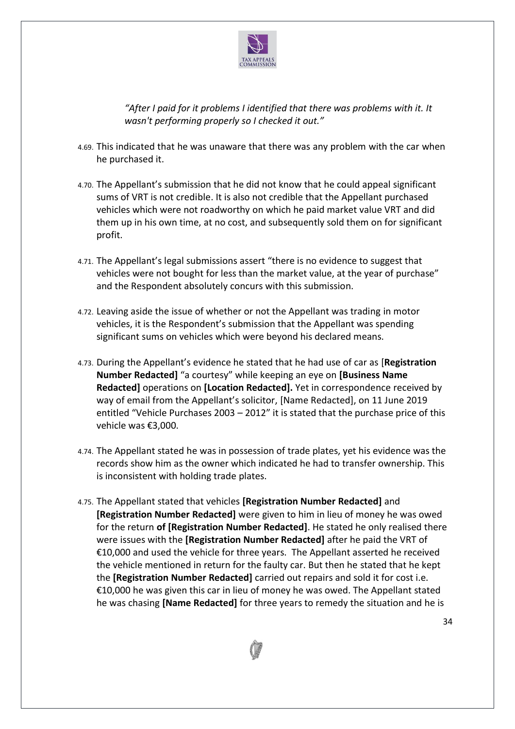

*"After I paid for it problems I identified that there was problems with it. It wasn't performing properly so I checked it out."*

- 4.69. This indicated that he was unaware that there was any problem with the car when he purchased it.
- 4.70. The Appellant's submission that he did not know that he could appeal significant sums of VRT is not credible. It is also not credible that the Appellant purchased vehicles which were not roadworthy on which he paid market value VRT and did them up in his own time, at no cost, and subsequently sold them on for significant profit.
- 4.71. The Appellant's legal submissions assert "there is no evidence to suggest that vehicles were not bought for less than the market value, at the year of purchase" and the Respondent absolutely concurs with this submission.
- 4.72. Leaving aside the issue of whether or not the Appellant was trading in motor vehicles, it is the Respondent's submission that the Appellant was spending significant sums on vehicles which were beyond his declared means.
- 4.73. During the Appellant's evidence he stated that he had use of car as [**Registration Number Redacted]** "a courtesy" while keeping an eye on **[Business Name Redacted]** operations on **[Location Redacted].** Yet in correspondence received by way of email from the Appellant's solicitor, [Name Redacted], on 11 June 2019 entitled "Vehicle Purchases 2003 – 2012" it is stated that the purchase price of this vehicle was €3,000.
- 4.74. The Appellant stated he was in possession of trade plates, yet his evidence was the records show him as the owner which indicated he had to transfer ownership. This is inconsistent with holding trade plates.
- 4.75. The Appellant stated that vehicles **[Registration Number Redacted]** and **[Registration Number Redacted]** were given to him in lieu of money he was owed for the return **of [Registration Number Redacted]**. He stated he only realised there were issues with the **[Registration Number Redacted]** after he paid the VRT of €10,000 and used the vehicle for three years. The Appellant asserted he received the vehicle mentioned in return for the faulty car. But then he stated that he kept the **[Registration Number Redacted]** carried out repairs and sold it for cost i.e. €10,000 he was given this car in lieu of money he was owed. The Appellant stated he was chasing **[Name Redacted]** for three years to remedy the situation and he is

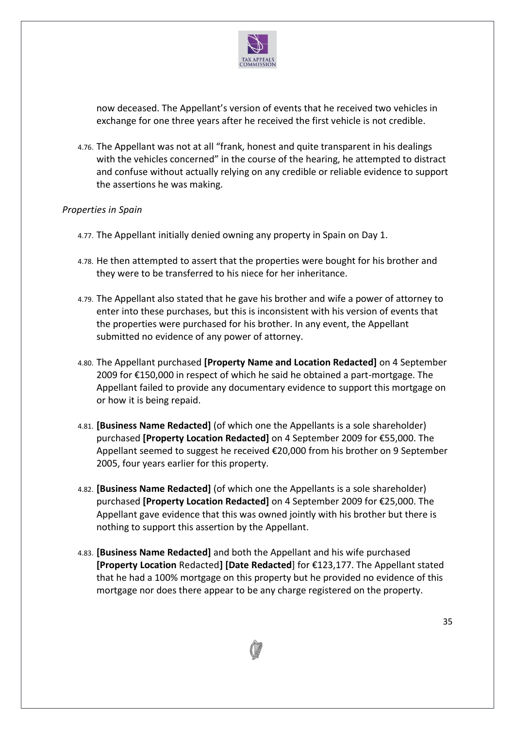

now deceased. The Appellant's version of events that he received two vehicles in exchange for one three years after he received the first vehicle is not credible.

4.76. The Appellant was not at all "frank, honest and quite transparent in his dealings with the vehicles concerned" in the course of the hearing, he attempted to distract and confuse without actually relying on any credible or reliable evidence to support the assertions he was making.

### *Properties in Spain*

- 4.77. The Appellant initially denied owning any property in Spain on Day 1.
- 4.78. He then attempted to assert that the properties were bought for his brother and they were to be transferred to his niece for her inheritance.
- 4.79. The Appellant also stated that he gave his brother and wife a power of attorney to enter into these purchases, but this is inconsistent with his version of events that the properties were purchased for his brother. In any event, the Appellant submitted no evidence of any power of attorney.
- 4.80. The Appellant purchased **[Property Name and Location Redacted]** on 4 September 2009 for €150,000 in respect of which he said he obtained a part-mortgage. The Appellant failed to provide any documentary evidence to support this mortgage on or how it is being repaid.
- 4.81. **[Business Name Redacted]** (of which one the Appellants is a sole shareholder) purchased **[Property Location Redacted]** on 4 September 2009 for €55,000. The Appellant seemed to suggest he received €20,000 from his brother on 9 September 2005, four years earlier for this property.
- 4.82. **[Business Name Redacted]** (of which one the Appellants is a sole shareholder) purchased **[Property Location Redacted]** on 4 September 2009 for €25,000. The Appellant gave evidence that this was owned jointly with his brother but there is nothing to support this assertion by the Appellant.
- 4.83. **[Business Name Redacted]** and both the Appellant and his wife purchased **[Property Location** Redacted**] [Date Redacted**] for €123,177. The Appellant stated that he had a 100% mortgage on this property but he provided no evidence of this mortgage nor does there appear to be any charge registered on the property.

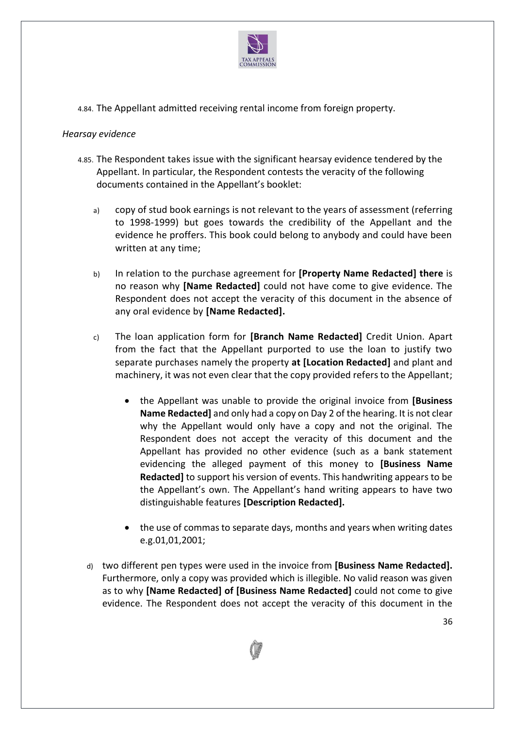

4.84. The Appellant admitted receiving rental income from foreign property.

### *Hearsay evidence*

- 4.85. The Respondent takes issue with the significant hearsay evidence tendered by the Appellant. In particular, the Respondent contests the veracity of the following documents contained in the Appellant's booklet:
	- a) copy of stud book earnings is not relevant to the years of assessment (referring to 1998-1999) but goes towards the credibility of the Appellant and the evidence he proffers. This book could belong to anybody and could have been written at any time;
	- b) In relation to the purchase agreement for **[Property Name Redacted] there** is no reason why **[Name Redacted]** could not have come to give evidence. The Respondent does not accept the veracity of this document in the absence of any oral evidence by **[Name Redacted].**
	- c) The loan application form for **[Branch Name Redacted]** Credit Union. Apart from the fact that the Appellant purported to use the loan to justify two separate purchases namely the property **at [Location Redacted]** and plant and machinery, it was not even clear that the copy provided refers to the Appellant;
		- the Appellant was unable to provide the original invoice from **[Business Name Redacted]** and only had a copy on Day 2 of the hearing. It is not clear why the Appellant would only have a copy and not the original. The Respondent does not accept the veracity of this document and the Appellant has provided no other evidence (such as a bank statement evidencing the alleged payment of this money to **[Business Name Redacted]** to support his version of events. This handwriting appears to be the Appellant's own. The Appellant's hand writing appears to have two distinguishable features **[Description Redacted].**
		- the use of commas to separate days, months and years when writing dates e.g.01,01,2001;
	- d) two different pen types were used in the invoice from **[Business Name Redacted].** Furthermore, only a copy was provided which is illegible. No valid reason was given as to why **[Name Redacted] of [Business Name Redacted]** could not come to give evidence. The Respondent does not accept the veracity of this document in the

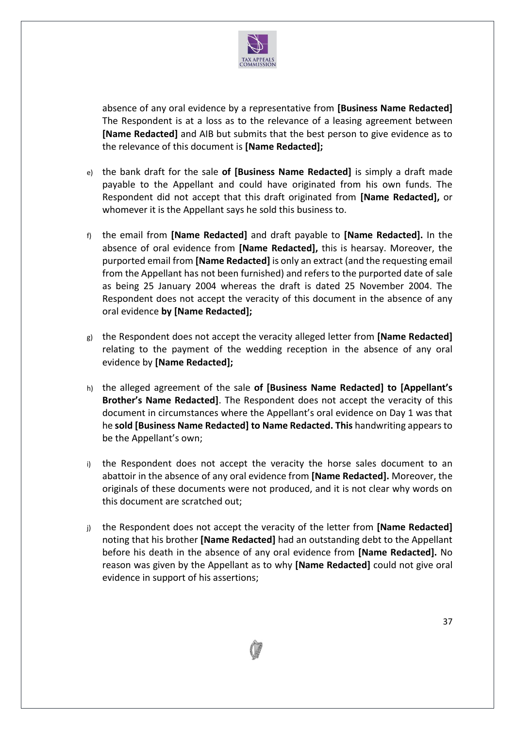

absence of any oral evidence by a representative from **[Business Name Redacted]** The Respondent is at a loss as to the relevance of a leasing agreement between **[Name Redacted]** and AIB but submits that the best person to give evidence as to the relevance of this document is **[Name Redacted];**

- e) the bank draft for the sale **of [Business Name Redacted]** is simply a draft made payable to the Appellant and could have originated from his own funds. The Respondent did not accept that this draft originated from **[Name Redacted],** or whomever it is the Appellant says he sold this business to.
- f) the email from **[Name Redacted]** and draft payable to **[Name Redacted].** In the absence of oral evidence from **[Name Redacted],** this is hearsay. Moreover, the purported email from **[Name Redacted]** is only an extract (and the requesting email from the Appellant has not been furnished) and refers to the purported date of sale as being 25 January 2004 whereas the draft is dated 25 November 2004. The Respondent does not accept the veracity of this document in the absence of any oral evidence **by [Name Redacted];**
- g) the Respondent does not accept the veracity alleged letter from **[Name Redacted]** relating to the payment of the wedding reception in the absence of any oral evidence by **[Name Redacted];**
- h) the alleged agreement of the sale **of [Business Name Redacted] to [Appellant's Brother's Name Redacted]**. The Respondent does not accept the veracity of this document in circumstances where the Appellant's oral evidence on Day 1 was that he **sold [Business Name Redacted] to Name Redacted. This** handwriting appears to be the Appellant's own;
- i) the Respondent does not accept the veracity the horse sales document to an abattoir in the absence of any oral evidence from **[Name Redacted].** Moreover, the originals of these documents were not produced, and it is not clear why words on this document are scratched out;
- j) the Respondent does not accept the veracity of the letter from **[Name Redacted]** noting that his brother **[Name Redacted]** had an outstanding debt to the Appellant before his death in the absence of any oral evidence from **[Name Redacted].** No reason was given by the Appellant as to why **[Name Redacted]** could not give oral evidence in support of his assertions;

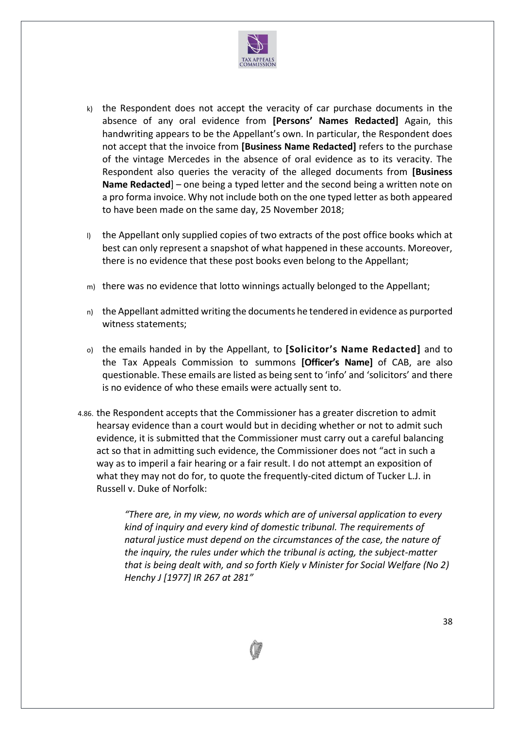

- k) the Respondent does not accept the veracity of car purchase documents in the absence of any oral evidence from **[Persons' Names Redacted]** Again, this handwriting appears to be the Appellant's own. In particular, the Respondent does not accept that the invoice from **[Business Name Redacted]** refers to the purchase of the vintage Mercedes in the absence of oral evidence as to its veracity. The Respondent also queries the veracity of the alleged documents from **[Business Name Redacted**] – one being a typed letter and the second being a written note on a pro forma invoice. Why not include both on the one typed letter as both appeared to have been made on the same day, 25 November 2018;
- l) the Appellant only supplied copies of two extracts of the post office books which at best can only represent a snapshot of what happened in these accounts. Moreover, there is no evidence that these post books even belong to the Appellant;
- m) there was no evidence that lotto winnings actually belonged to the Appellant;
- n) the Appellant admitted writing the documents he tendered in evidence as purported witness statements;
- o) the emails handed in by the Appellant, to **[Solicitor's Name Redacted]** and to the Tax Appeals Commission to summons **[Officer's Name]** of CAB, are also questionable. These emails are listed as being sent to 'info' and 'solicitors' and there is no evidence of who these emails were actually sent to.
- 4.86. the Respondent accepts that the Commissioner has a greater discretion to admit hearsay evidence than a court would but in deciding whether or not to admit such evidence, it is submitted that the Commissioner must carry out a careful balancing act so that in admitting such evidence, the Commissioner does not "act in such a way as to imperil a fair hearing or a fair result. I do not attempt an exposition of what they may not do for, to quote the frequently-cited dictum of Tucker L.J. in Russell v. Duke of Norfolk:

*"There are, in my view, no words which are of universal application to every kind of inquiry and every kind of domestic tribunal. The requirements of natural justice must depend on the circumstances of the case, the nature of the inquiry, the rules under which the tribunal is acting, the subject-matter that is being dealt with, and so forth Kiely v Minister for Social Welfare (No 2) Henchy J [1977] IR 267 at 281"*

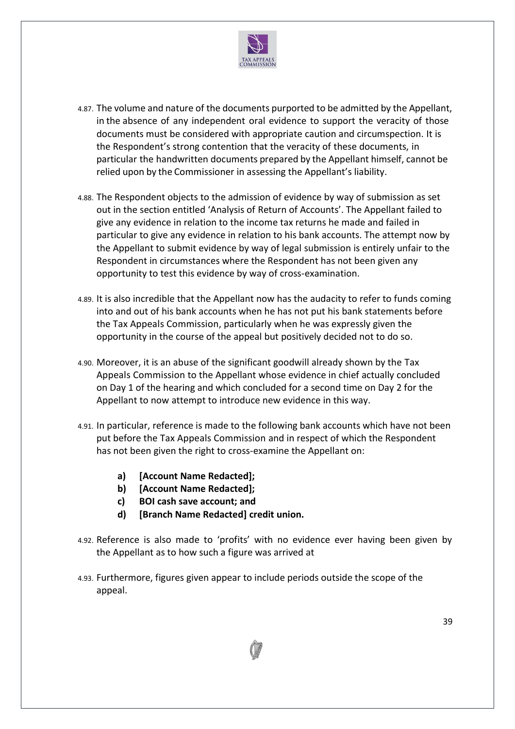

- 4.87. The volume and nature of the documents purported to be admitted by the Appellant, in the absence of any independent oral evidence to support the veracity of those documents must be considered with appropriate caution and circumspection. It is the Respondent's strong contention that the veracity of these documents, in particular the handwritten documents prepared by the Appellant himself, cannot be relied upon by the Commissioner in assessing the Appellant's liability.
- 4.88. The Respondent objects to the admission of evidence by way of submission as set out in the section entitled 'Analysis of Return of Accounts'. The Appellant failed to give any evidence in relation to the income tax returns he made and failed in particular to give any evidence in relation to his bank accounts. The attempt now by the Appellant to submit evidence by way of legal submission is entirely unfair to the Respondent in circumstances where the Respondent has not been given any opportunity to test this evidence by way of cross-examination.
- 4.89. It is also incredible that the Appellant now has the audacity to refer to funds coming into and out of his bank accounts when he has not put his bank statements before the Tax Appeals Commission, particularly when he was expressly given the opportunity in the course of the appeal but positively decided not to do so.
- 4.90. Moreover, it is an abuse of the significant goodwill already shown by the Tax Appeals Commission to the Appellant whose evidence in chief actually concluded on Day 1 of the hearing and which concluded for a second time on Day 2 for the Appellant to now attempt to introduce new evidence in this way.
- 4.91. In particular, reference is made to the following bank accounts which have not been put before the Tax Appeals Commission and in respect of which the Respondent has not been given the right to cross-examine the Appellant on:
	- **a) [Account Name Redacted];**
	- **b) [Account Name Redacted];**
	- **c) BOI cash save account; and**
	- **d) [Branch Name Redacted] credit union.**
- 4.92. Reference is also made to 'profits' with no evidence ever having been given by the Appellant as to how such a figure was arrived at
- 4.93. Furthermore, figures given appear to include periods outside the scope of the appeal.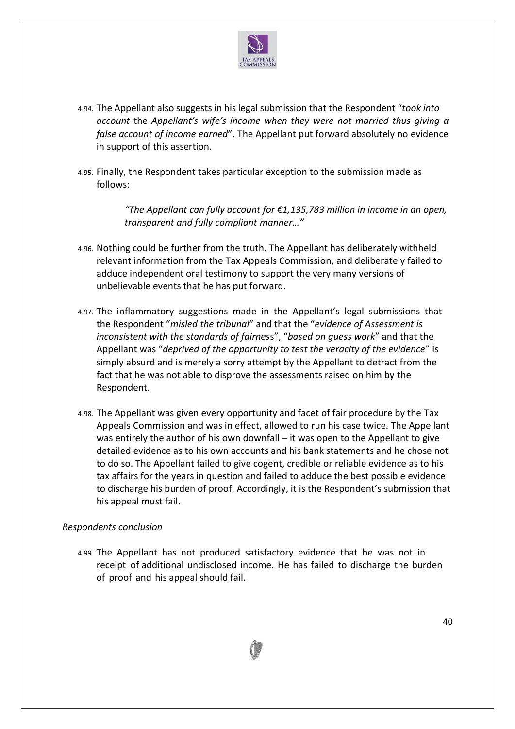

- 4.94. The Appellant also suggests in his legal submission that the Respondent "*took into account* the *Appellant's wife's income when they were not married thus giving a false account of income earned*". The Appellant put forward absolutely no evidence in support of this assertion.
- 4.95. Finally, the Respondent takes particular exception to the submission made as follows:

*"The Appellant can fully account for €1,135,783 million in income in an open, transparent and fully compliant manner…"*

- 4.96. Nothing could be further from the truth. The Appellant has deliberately withheld relevant information from the Tax Appeals Commission, and deliberately failed to adduce independent oral testimony to support the very many versions of unbelievable events that he has put forward.
- 4.97. The inflammatory suggestions made in the Appellant's legal submissions that the Respondent "*misled the tribunal*" and that the "*evidence of Assessment is inconsistent with the standards of fairnes*s", "*based on guess work*" and that the Appellant was "*deprived of the opportunity to test the veracity of the evidence*" is simply absurd and is merely a sorry attempt by the Appellant to detract from the fact that he was not able to disprove the assessments raised on him by the Respondent.
- 4.98. The Appellant was given every opportunity and facet of fair procedure by the Tax Appeals Commission and was in effect, allowed to run his case twice. The Appellant was entirely the author of his own downfall – it was open to the Appellant to give detailed evidence as to his own accounts and his bank statements and he chose not to do so. The Appellant failed to give cogent, credible or reliable evidence as to his tax affairs for the years in question and failed to adduce the best possible evidence to discharge his burden of proof. Accordingly, it is the Respondent's submission that his appeal must fail.

### *Respondents conclusion*

4.99. The Appellant has not produced satisfactory evidence that he was not in receipt of additional undisclosed income. He has failed to discharge the burden of proof and his appeal should fail.

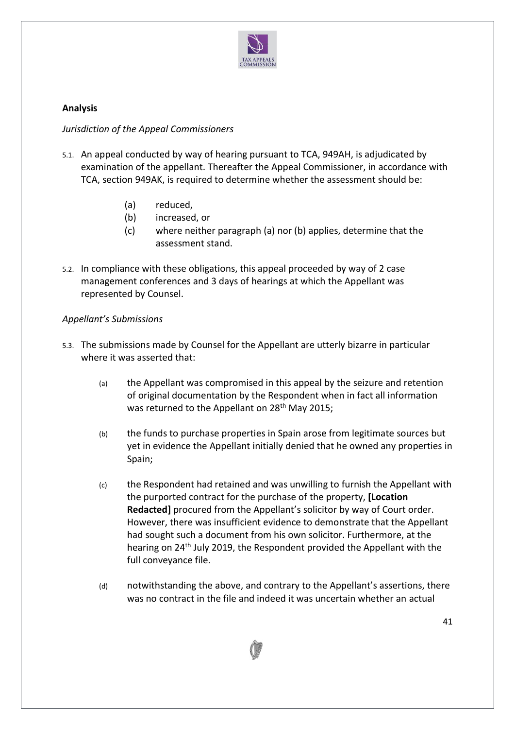

# **Analysis**

## *Jurisdiction of the Appeal Commissioners*

- 5.1. An appeal conducted by way of hearing pursuant to TCA, 949AH, is adjudicated by examination of the appellant. Thereafter the Appeal Commissioner, in accordance with TCA, section 949AK, is required to determine whether the assessment should be:
	- (a) reduced,
	- (b) increased, or
	- (c) where neither paragraph (a) nor (b) applies, determine that the assessment stand.
- 5.2. In compliance with these obligations, this appeal proceeded by way of 2 case management conferences and 3 days of hearings at which the Appellant was represented by Counsel.

## *Appellant's Submissions*

- 5.3. The submissions made by Counsel for the Appellant are utterly bizarre in particular where it was asserted that:
	- (a) the Appellant was compromised in this appeal by the seizure and retention of original documentation by the Respondent when in fact all information was returned to the Appellant on 28<sup>th</sup> May 2015;
	- (b) the funds to purchase properties in Spain arose from legitimate sources but yet in evidence the Appellant initially denied that he owned any properties in Spain;
	- (c) the Respondent had retained and was unwilling to furnish the Appellant with the purported contract for the purchase of the property, **[Location Redacted]** procured from the Appellant's solicitor by way of Court order. However, there was insufficient evidence to demonstrate that the Appellant had sought such a document from his own solicitor. Furthermore, at the hearing on 24<sup>th</sup> July 2019, the Respondent provided the Appellant with the full conveyance file.
	- (d) notwithstanding the above, and contrary to the Appellant's assertions, there was no contract in the file and indeed it was uncertain whether an actual

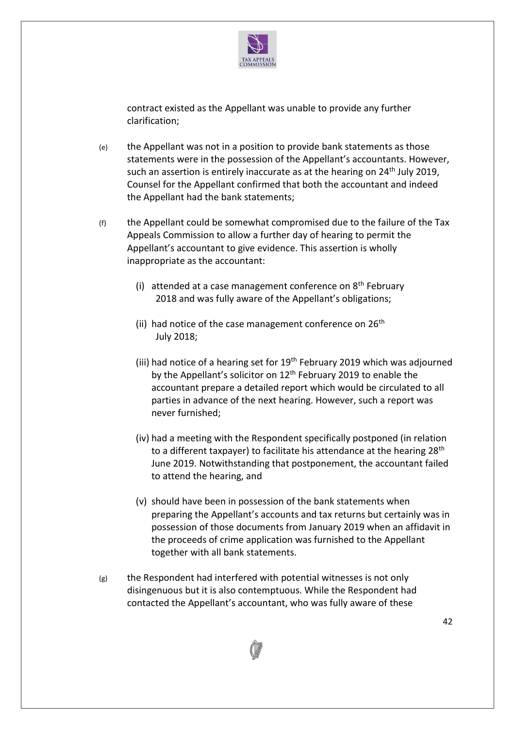

contract existed as the Appellant was unable to provide any further clarification;

- (e) the Appellant was not in a position to provide bank statements as those statements were in the possession of the Appellant's accountants. However, such an assertion is entirely inaccurate as at the hearing on  $24<sup>th</sup>$  July 2019, Counsel for the Appellant confirmed that both the accountant and indeed the Appellant had the bank statements;
- $(f)$  the Appellant could be somewhat compromised due to the failure of the Tax Appeals Commission to allow a further day of hearing to permit the Appellant's accountant to give evidence. This assertion is wholly inappropriate as the accountant:
	- (i) attended at a case management conference on  $8<sup>th</sup>$  February 2018 and was fully aware of the Appellant's obligations;
	- (ii) had notice of the case management conference on  $26<sup>th</sup>$ July 2018;
	- (iii) had notice of a hearing set for  $19<sup>th</sup>$  February 2019 which was adjourned by the Appellant's solicitor on  $12<sup>th</sup>$  February 2019 to enable the accountant prepare a detailed report which would be circulated to all parties in advance of the next hearing. However, such a report was never furnished;
	- (iv) had a meeting with the Respondent specifically postponed (in relation to a different taxpayer) to facilitate his attendance at the hearing 28<sup>th</sup> June 2019. Notwithstanding that postponement, the accountant failed to attend the hearing, and
	- (v) should have been in possession of the bank statements when preparing the Appellant's accounts and tax returns but certainly was in possession of those documents from January 2019 when an affidavit in the proceeds of crime application was furnished to the Appellant together with all bank statements.
- $(g)$  the Respondent had interfered with potential witnesses is not only disingenuous but it is also contemptuous. While the Respondent had contacted the Appellant's accountant, who was fully aware of these

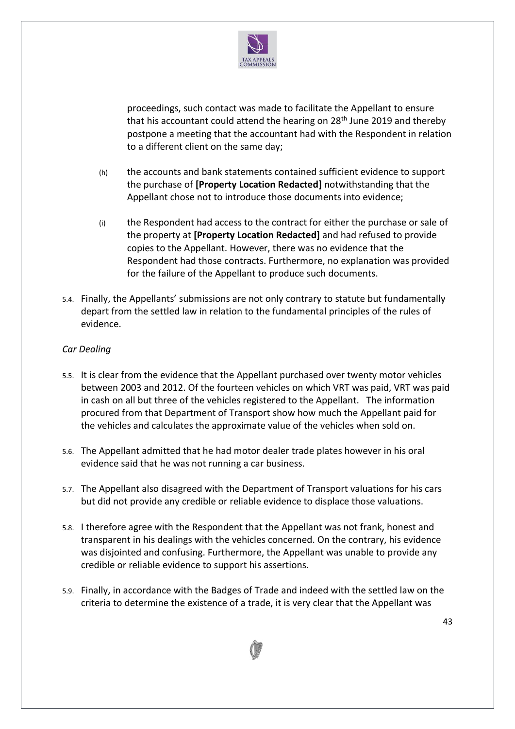

proceedings, such contact was made to facilitate the Appellant to ensure that his accountant could attend the hearing on 28<sup>th</sup> June 2019 and thereby postpone a meeting that the accountant had with the Respondent in relation to a different client on the same day;

- (h) the accounts and bank statements contained sufficient evidence to support the purchase of **[Property Location Redacted]** notwithstanding that the Appellant chose not to introduce those documents into evidence;
- (i) the Respondent had access to the contract for either the purchase or sale of the property at **[Property Location Redacted]** and had refused to provide copies to the Appellant. However, there was no evidence that the Respondent had those contracts. Furthermore, no explanation was provided for the failure of the Appellant to produce such documents.
- 5.4. Finally, the Appellants' submissions are not only contrary to statute but fundamentally depart from the settled law in relation to the fundamental principles of the rules of evidence.

## *Car Dealing*

- 5.5. It is clear from the evidence that the Appellant purchased over twenty motor vehicles between 2003 and 2012. Of the fourteen vehicles on which VRT was paid, VRT was paid in cash on all but three of the vehicles registered to the Appellant. The information procured from that Department of Transport show how much the Appellant paid for the vehicles and calculates the approximate value of the vehicles when sold on.
- 5.6. The Appellant admitted that he had motor dealer trade plates however in his oral evidence said that he was not running a car business.
- 5.7. The Appellant also disagreed with the Department of Transport valuations for his cars but did not provide any credible or reliable evidence to displace those valuations.
- 5.8. I therefore agree with the Respondent that the Appellant was not frank, honest and transparent in his dealings with the vehicles concerned. On the contrary, his evidence was disjointed and confusing. Furthermore, the Appellant was unable to provide any credible or reliable evidence to support his assertions.
- 5.9. Finally, in accordance with the Badges of Trade and indeed with the settled law on the criteria to determine the existence of a trade, it is very clear that the Appellant was

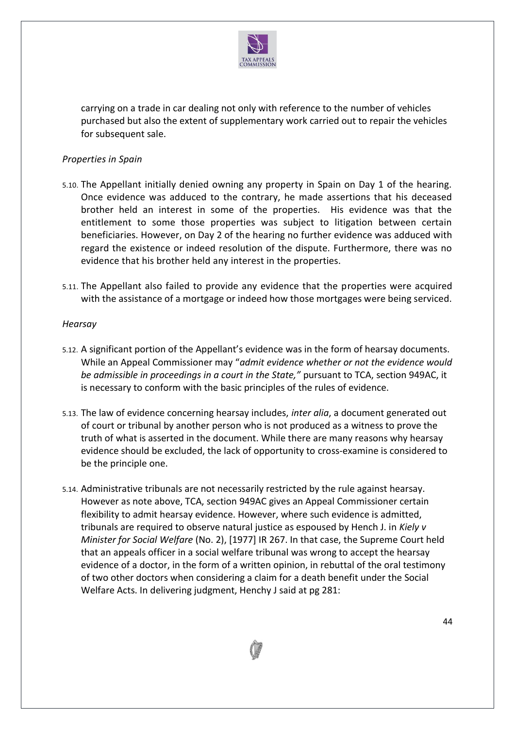

carrying on a trade in car dealing not only with reference to the number of vehicles purchased but also the extent of supplementary work carried out to repair the vehicles for subsequent sale.

## *Properties in Spain*

- 5.10. The Appellant initially denied owning any property in Spain on Day 1 of the hearing. Once evidence was adduced to the contrary, he made assertions that his deceased brother held an interest in some of the properties. His evidence was that the entitlement to some those properties was subject to litigation between certain beneficiaries. However, on Day 2 of the hearing no further evidence was adduced with regard the existence or indeed resolution of the dispute. Furthermore, there was no evidence that his brother held any interest in the properties.
- 5.11. The Appellant also failed to provide any evidence that the properties were acquired with the assistance of a mortgage or indeed how those mortgages were being serviced.

### *Hearsay*

- 5.12. A significant portion of the Appellant's evidence was in the form of hearsay documents. While an Appeal Commissioner may "*admit evidence whether or not the evidence would be admissible in proceedings in a court in the State,"* pursuant to TCA, section 949AC, it is necessary to conform with the basic principles of the rules of evidence.
- 5.13. The law of evidence concerning hearsay includes, *inter alia*, a document generated out of court or tribunal by another person who is not produced as a witness to prove the truth of what is asserted in the document. While there are many reasons why hearsay evidence should be excluded, the lack of opportunity to cross-examine is considered to be the principle one.
- 5.14. Administrative tribunals are not necessarily restricted by the rule against hearsay. However as note above, TCA, section 949AC gives an Appeal Commissioner certain flexibility to admit hearsay evidence. However, where such evidence is admitted, tribunals are required to observe natural justice as espoused by Hench J. in *Kiely v Minister for Social Welfare* (No. 2), [1977] IR 267. In that case, the Supreme Court held that an appeals officer in a social welfare tribunal was wrong to accept the hearsay evidence of a doctor, in the form of a written opinion, in rebuttal of the oral testimony of two other doctors when considering a claim for a death benefit under the Social Welfare Acts. In delivering judgment, Henchy J said at pg 281:

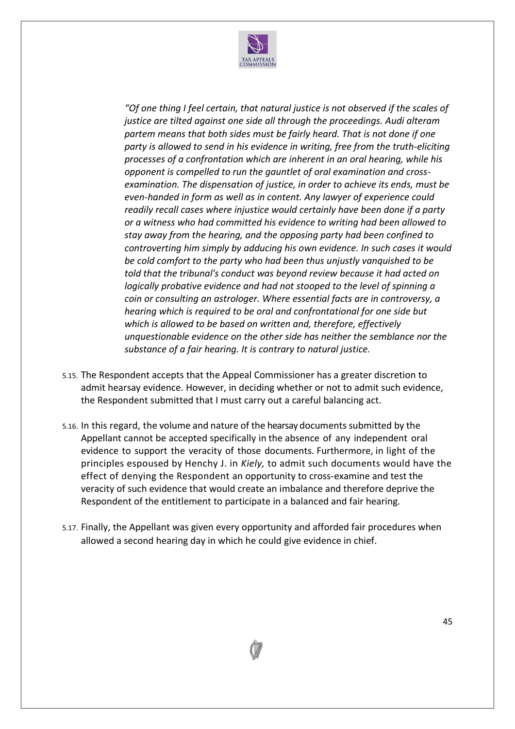

*"Of one thing I feel certain, that natural justice is not observed if the scales of justice are tilted against one side all through the proceedings. Audi alteram partem means that both sides must be fairly heard. That is not done if one party is allowed to send in his evidence in writing, free from the truth-eliciting processes of a confrontation which are inherent in an oral hearing, while his opponent is compelled to run the gauntlet of oral examination and crossexamination. The dispensation of justice, in order to achieve its ends, must be even-handed in form as well as in content. Any lawyer of experience could readily recall cases where injustice would certainly have been done if a party or a witness who had committed his evidence to writing had been allowed to stay away from the hearing, and the opposing party had been confined to controverting him simply by adducing his own evidence. In such cases it would be cold comfort to the party who had been thus unjustly vanquished to be told that the tribunal's conduct was beyond review because it had acted on logically probative evidence and had not stooped to the level of spinning a coin or consulting an astrologer. Where essential facts are in controversy, a hearing which is required to be oral and confrontational for one side but which is allowed to be based on written and, therefore, effectively unquestionable evidence on the other side has neither the semblance nor the substance of a fair hearing. It is contrary to natural justice.*

- 5.15. The Respondent accepts that the Appeal Commissioner has a greater discretion to admit hearsay evidence. However, in deciding whether or not to admit such evidence, the Respondent submitted that I must carry out a careful balancing act.
- 5.16. In this regard, the volume and nature of the hearsay documents submitted by the Appellant cannot be accepted specifically in the absence of any independent oral evidence to support the veracity of those documents. Furthermore, in light of the principles espoused by Henchy J. in *Kiely,* to admit such documents would have the effect of denying the Respondent an opportunity to cross-examine and test the veracity of such evidence that would create an imbalance and therefore deprive the Respondent of the entitlement to participate in a balanced and fair hearing.
- 5.17. Finally, the Appellant was given every opportunity and afforded fair procedures when allowed a second hearing day in which he could give evidence in chief.

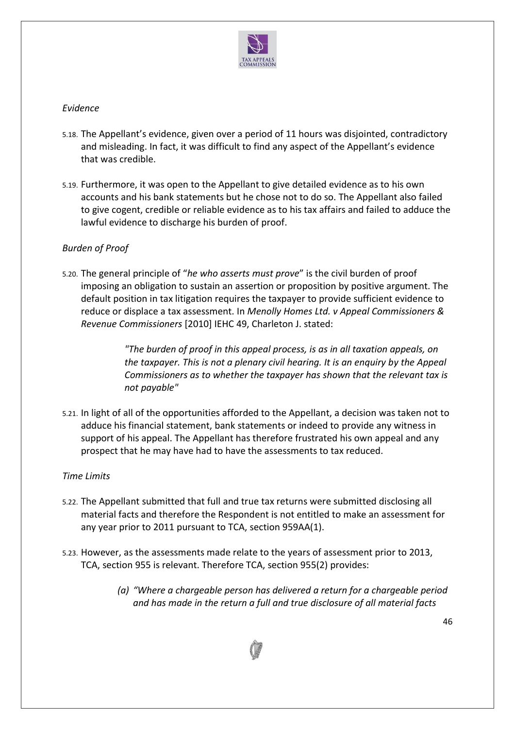

## *Evidence*

- 5.18. The Appellant's evidence, given over a period of 11 hours was disjointed, contradictory and misleading. In fact, it was difficult to find any aspect of the Appellant's evidence that was credible.
- 5.19. Furthermore, it was open to the Appellant to give detailed evidence as to his own accounts and his bank statements but he chose not to do so. The Appellant also failed to give cogent, credible or reliable evidence as to his tax affairs and failed to adduce the lawful evidence to discharge his burden of proof.

# *Burden of Proof*

5.20. The general principle of "*he who asserts must prove*" is the civil burden of proof imposing an obligation to sustain an assertion or proposition by positive argument. The default position in tax litigation requires the taxpayer to provide sufficient evidence to reduce or displace a tax assessment. In *Menolly Homes Ltd. v Appeal Commissioners & Revenue Commissioners* [2010] IEHC 49, Charleton J. stated:

> *"The burden of proof in this appeal process, is as in all taxation appeals, on the taxpayer. This is not a plenary civil hearing. It is an enquiry by the Appeal Commissioners as to whether the taxpayer has shown that the relevant tax is not payable"*

5.21. In light of all of the opportunities afforded to the Appellant, a decision was taken not to adduce his financial statement, bank statements or indeed to provide any witness in support of his appeal. The Appellant has therefore frustrated his own appeal and any prospect that he may have had to have the assessments to tax reduced.

# *Time Limits*

- 5.22. The Appellant submitted that full and true tax returns were submitted disclosing all material facts and therefore the Respondent is not entitled to make an assessment for any year prior to 2011 pursuant to TCA, section 959AA(1).
- 5.23. However, as the assessments made relate to the years of assessment prior to 2013, TCA, section 955 is relevant. Therefore TCA, section 955(2) provides:
	- *(a) "Where a chargeable person has delivered a return for a chargeable period and has made in the return a full and true disclosure of all material facts*

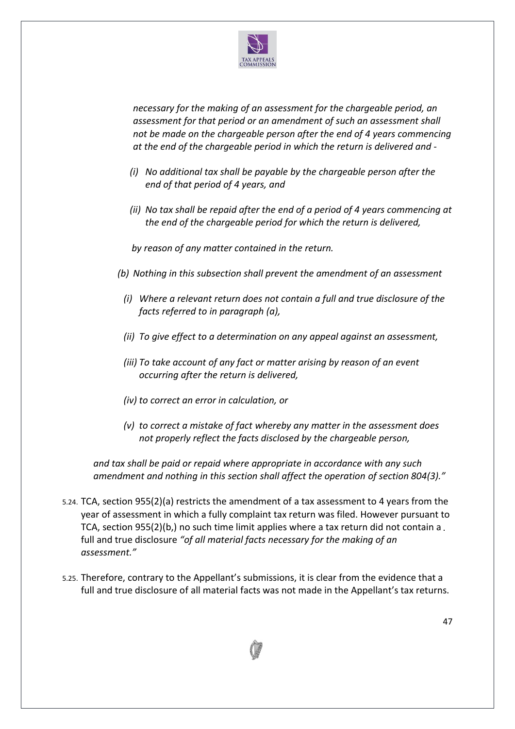

*necessary for the making of an assessment for the chargeable period, an assessment for that period or an amendment of such an assessment shall not be made on the chargeable person after the end of 4 years commencing at the end of the chargeable period in which the return is delivered and -*

- *(i) No additional tax shall be payable by the chargeable person after the end of that period of 4 years, and*
- *(ii) No tax shall be repaid after the end of a period of 4 years commencing at the end of the chargeable period for which the return is delivered,*

 *by reason of any matter contained in the return.*

- *(b) Nothing in this subsection shall prevent the amendment of an assessment*
	- *(i) Where a relevant return does not contain a full and true disclosure of the facts referred to in paragraph (a),*
	- *(ii) To give effect to a determination on any appeal against an assessment,*
	- *(iii) To take account of any fact or matter arising by reason of an event occurring after the return is delivered,*
	- *(iv) to correct an error in calculation, or*
	- *(v) to correct a mistake of fact whereby any matter in the assessment does not properly reflect the facts disclosed by the chargeable person,*

*and tax shall be paid or repaid where appropriate in accordance with any such amendment and nothing in this section shall affect the operation of section 804(3)."*

- 5.24. TCA, section 955(2)(a) restricts the amendment of a tax assessment to 4 years from the year of assessment in which a fully complaint tax return was filed. However pursuant to TCA, section 955(2)(b,) no such time limit applies where a tax return did not contain a full and true disclosure *"of all material facts necessary for the making of an assessment."*
- 5.25. Therefore, contrary to the Appellant's submissions, it is clear from the evidence that a full and true disclosure of all material facts was not made in the Appellant's tax returns.

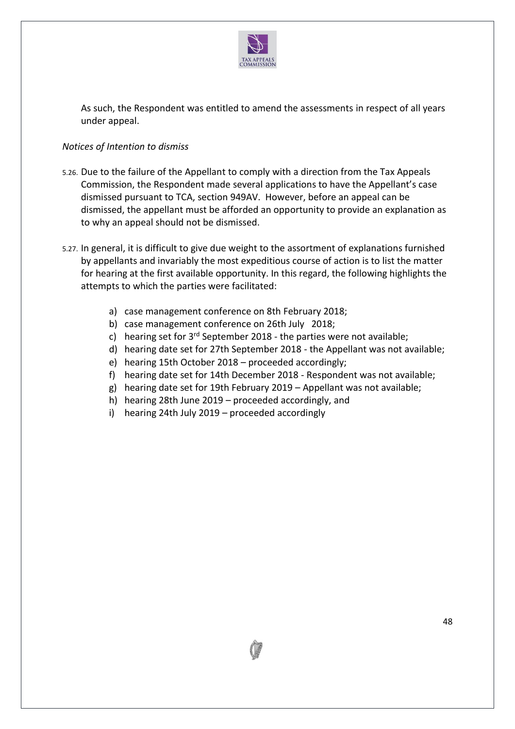

As such, the Respondent was entitled to amend the assessments in respect of all years under appeal.

## *Notices of Intention to dismiss*

- 5.26. Due to the failure of the Appellant to comply with a direction from the Tax Appeals Commission, the Respondent made several applications to have the Appellant's case dismissed pursuant to TCA, section 949AV. However, before an appeal can be dismissed, the appellant must be afforded an opportunity to provide an explanation as to why an appeal should not be dismissed.
- 5.27. In general, it is difficult to give due weight to the assortment of explanations furnished by appellants and invariably the most expeditious course of action is to list the matter for hearing at the first available opportunity. In this regard, the following highlights the attempts to which the parties were facilitated:
	- a) case management conference on 8th February 2018;
	- b) case management conference on 26th July 2018;
	- c) hearing set for  $3^{rd}$  September 2018 the parties were not available;
	- d) hearing date set for 27th September 2018 the Appellant was not available;
	- e) hearing 15th October 2018 proceeded accordingly;
	- f) hearing date set for 14th December 2018 Respondent was not available;
	- g) hearing date set for 19th February 2019 Appellant was not available;
	- h) hearing 28th June 2019 proceeded accordingly, and
	- i) hearing 24th July 2019 proceeded accordingly